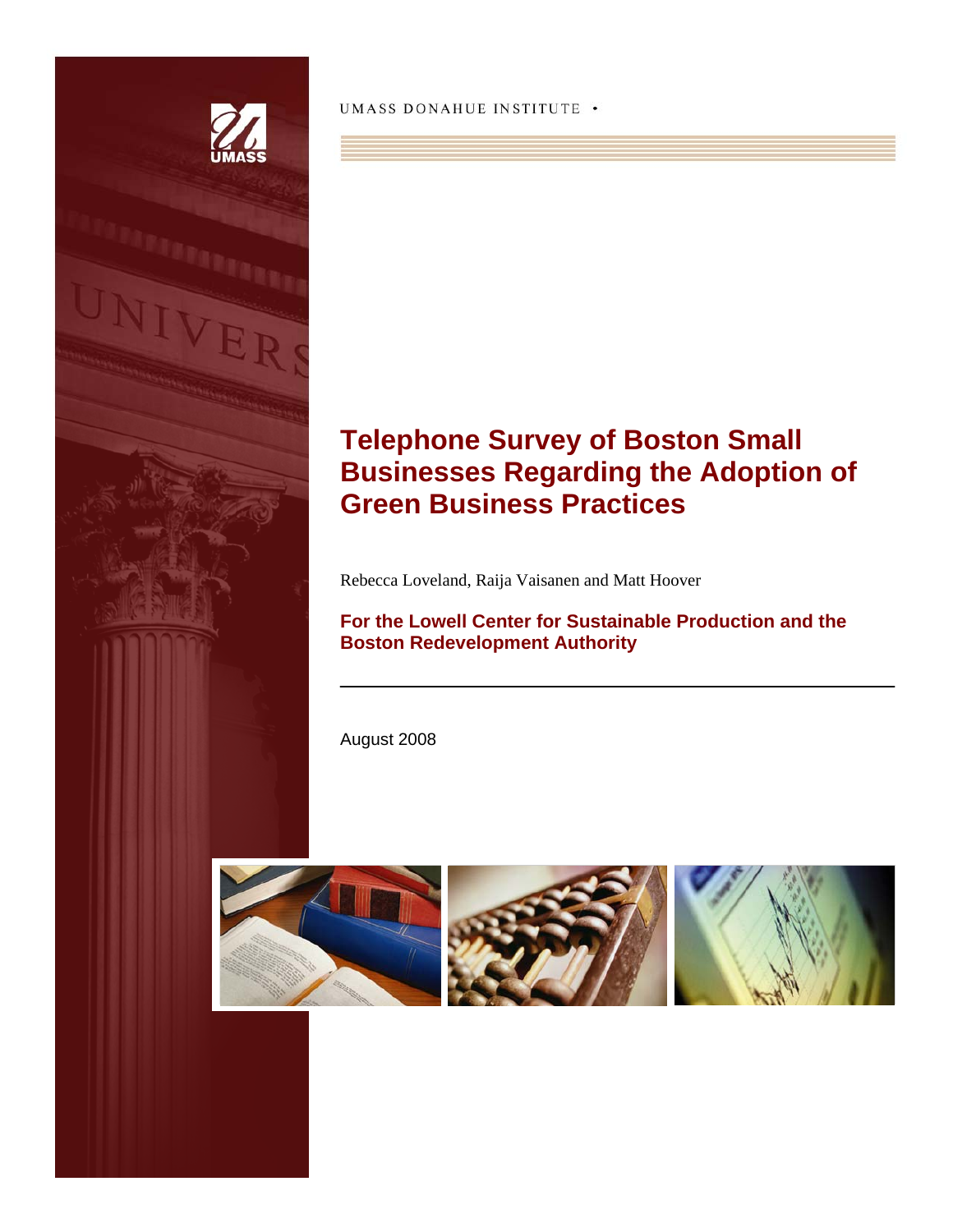

UMASS DONAHUE INSTITUTE .

# **Telephone Survey of Boston Small Businesses Regarding the Adoption of Green Business Practices**

Rebecca Loveland, Raija Vaisanen and Matt Hoover

**For the Lowell Center for Sustainable Production and the Boston Redevelopment Authority**

August 2008





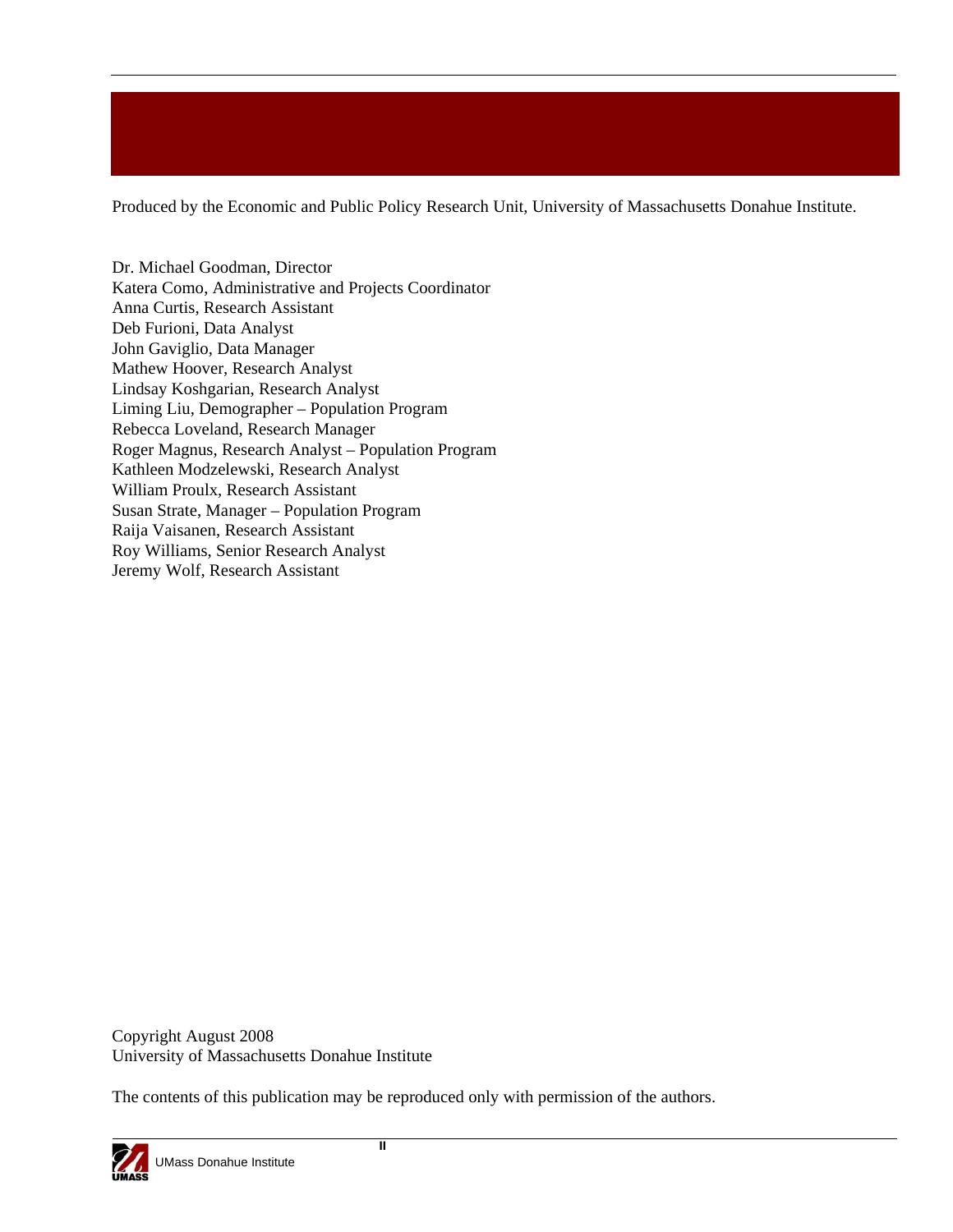Produced by the Economic and Public Policy Research Unit, University of Massachusetts Donahue Institute.

Dr. Michael Goodman, Director Katera Como, Administrative and Projects Coordinator Anna Curtis, Research Assistant Deb Furioni, Data Analyst John Gaviglio, Data Manager Mathew Hoover, Research Analyst Lindsay Koshgarian, Research Analyst Liming Liu, Demographer – Population Program Rebecca Loveland, Research Manager Roger Magnus, Research Analyst – Population Program Kathleen Modzelewski, Research Analyst William Proulx, Research Assistant Susan Strate, Manager – Population Program Raija Vaisanen, Research Assistant Roy Williams, Senior Research Analyst Jeremy Wolf, Research Assistant

Copyright August 2008 University of Massachusetts Donahue Institute

The contents of this publication may be reproduced only with permission of the authors.

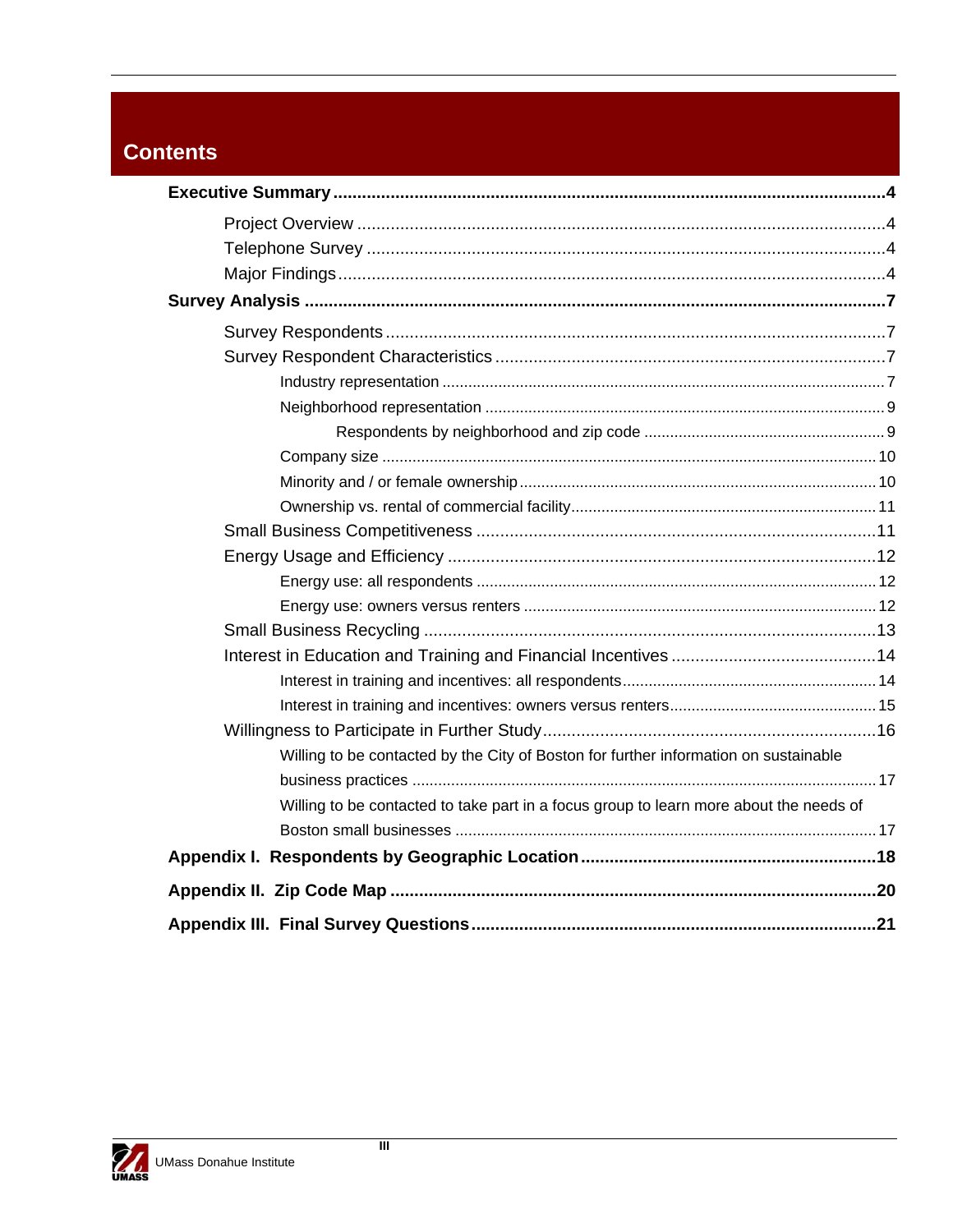# **Contents**

| Willing to be contacted by the City of Boston for further information on sustainable   |  |
|----------------------------------------------------------------------------------------|--|
|                                                                                        |  |
| Willing to be contacted to take part in a focus group to learn more about the needs of |  |
|                                                                                        |  |
|                                                                                        |  |
|                                                                                        |  |
|                                                                                        |  |

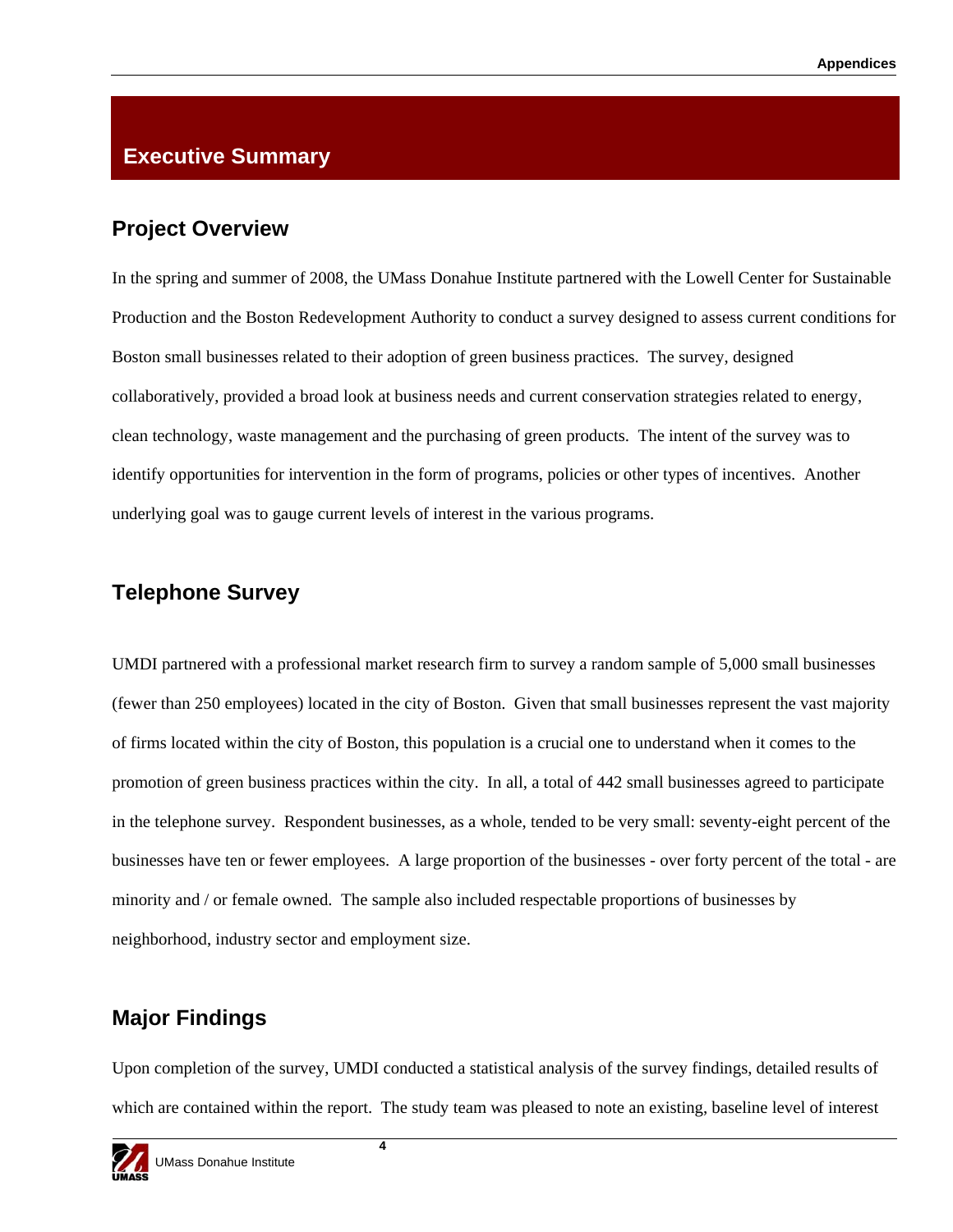### **Executive Summary**

### **Project Overview**

In the spring and summer of 2008, the UMass Donahue Institute partnered with the Lowell Center for Sustainable Production and the Boston Redevelopment Authority to conduct a survey designed to assess current conditions for Boston small businesses related to their adoption of green business practices. The survey, designed collaboratively, provided a broad look at business needs and current conservation strategies related to energy, clean technology, waste management and the purchasing of green products. The intent of the survey was to identify opportunities for intervention in the form of programs, policies or other types of incentives. Another underlying goal was to gauge current levels of interest in the various programs.

### **Telephone Survey**

UMDI partnered with a professional market research firm to survey a random sample of 5,000 small businesses (fewer than 250 employees) located in the city of Boston. Given that small businesses represent the vast majority of firms located within the city of Boston, this population is a crucial one to understand when it comes to the promotion of green business practices within the city. In all, a total of 442 small businesses agreed to participate in the telephone survey. Respondent businesses, as a whole, tended to be very small: seventy-eight percent of the businesses have ten or fewer employees. A large proportion of the businesses - over forty percent of the total - are minority and / or female owned. The sample also included respectable proportions of businesses by neighborhood, industry sector and employment size.

## **Major Findings**

Upon completion of the survey, UMDI conducted a statistical analysis of the survey findings, detailed results of which are contained within the report. The study team was pleased to note an existing, baseline level of interest

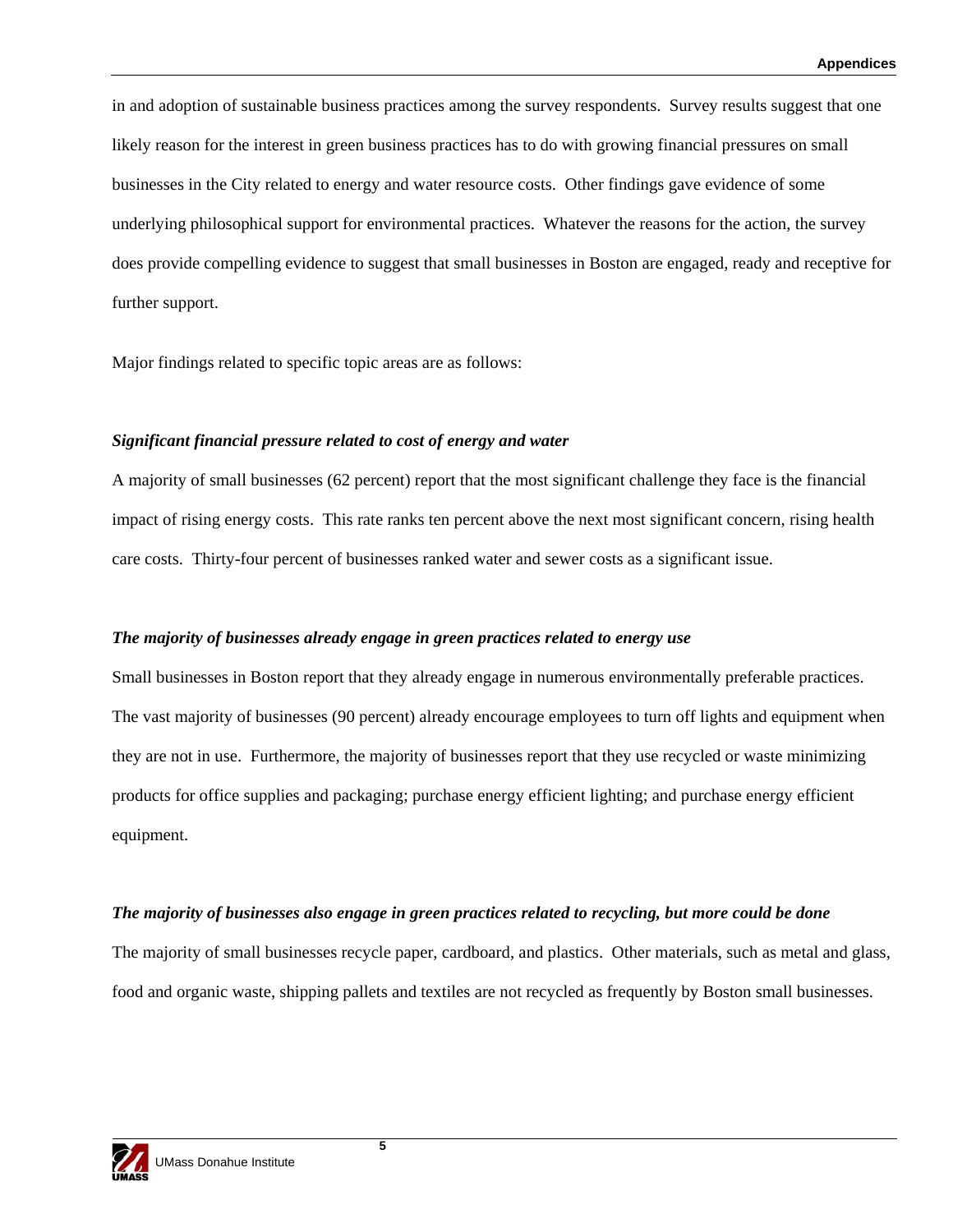in and adoption of sustainable business practices among the survey respondents. Survey results suggest that one likely reason for the interest in green business practices has to do with growing financial pressures on small businesses in the City related to energy and water resource costs. Other findings gave evidence of some underlying philosophical support for environmental practices. Whatever the reasons for the action, the survey does provide compelling evidence to suggest that small businesses in Boston are engaged, ready and receptive for further support.

Major findings related to specific topic areas are as follows:

#### *Significant financial pressure related to cost of energy and water*

A majority of small businesses (62 percent) report that the most significant challenge they face is the financial impact of rising energy costs. This rate ranks ten percent above the next most significant concern, rising health care costs. Thirty-four percent of businesses ranked water and sewer costs as a significant issue.

#### *The majority of businesses already engage in green practices related to energy use*

Small businesses in Boston report that they already engage in numerous environmentally preferable practices. The vast majority of businesses (90 percent) already encourage employees to turn off lights and equipment when they are not in use. Furthermore, the majority of businesses report that they use recycled or waste minimizing products for office supplies and packaging; purchase energy efficient lighting; and purchase energy efficient equipment.

#### *The majority of businesses also engage in green practices related to recycling, but more could be done*

The majority of small businesses recycle paper, cardboard, and plastics. Other materials, such as metal and glass, food and organic waste, shipping pallets and textiles are not recycled as frequently by Boston small businesses.

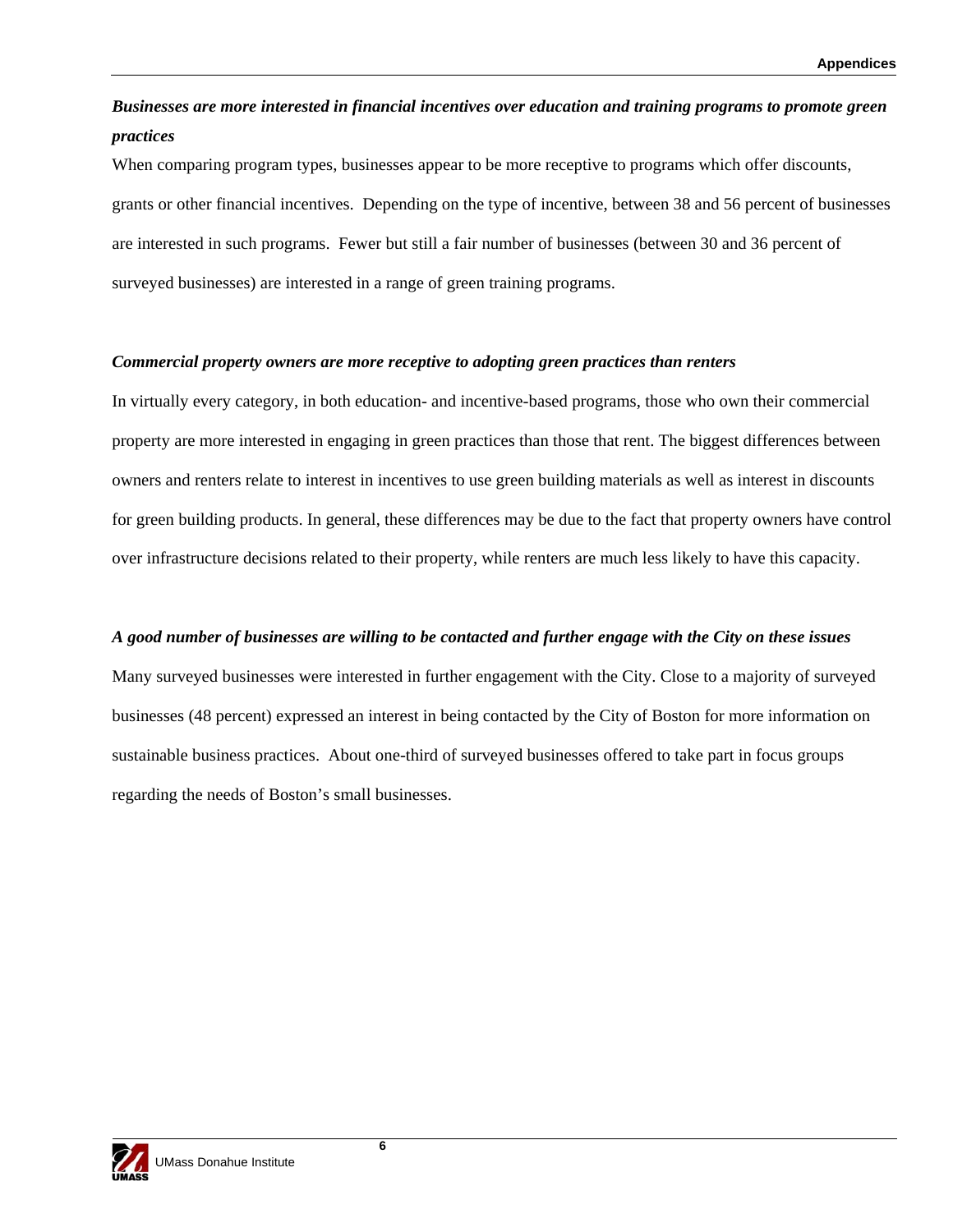### *Businesses are more interested in financial incentives over education and training programs to promote green practices*

When comparing program types, businesses appear to be more receptive to programs which offer discounts, grants or other financial incentives. Depending on the type of incentive, between 38 and 56 percent of businesses are interested in such programs. Fewer but still a fair number of businesses (between 30 and 36 percent of surveyed businesses) are interested in a range of green training programs.

#### *Commercial property owners are more receptive to adopting green practices than renters*

In virtually every category, in both education- and incentive-based programs, those who own their commercial property are more interested in engaging in green practices than those that rent. The biggest differences between owners and renters relate to interest in incentives to use green building materials as well as interest in discounts for green building products. In general, these differences may be due to the fact that property owners have control over infrastructure decisions related to their property, while renters are much less likely to have this capacity.

#### *A good number of businesses are willing to be contacted and further engage with the City on these issues*

Many surveyed businesses were interested in further engagement with the City. Close to a majority of surveyed businesses (48 percent) expressed an interest in being contacted by the City of Boston for more information on sustainable business practices. About one-third of surveyed businesses offered to take part in focus groups regarding the needs of Boston's small businesses.

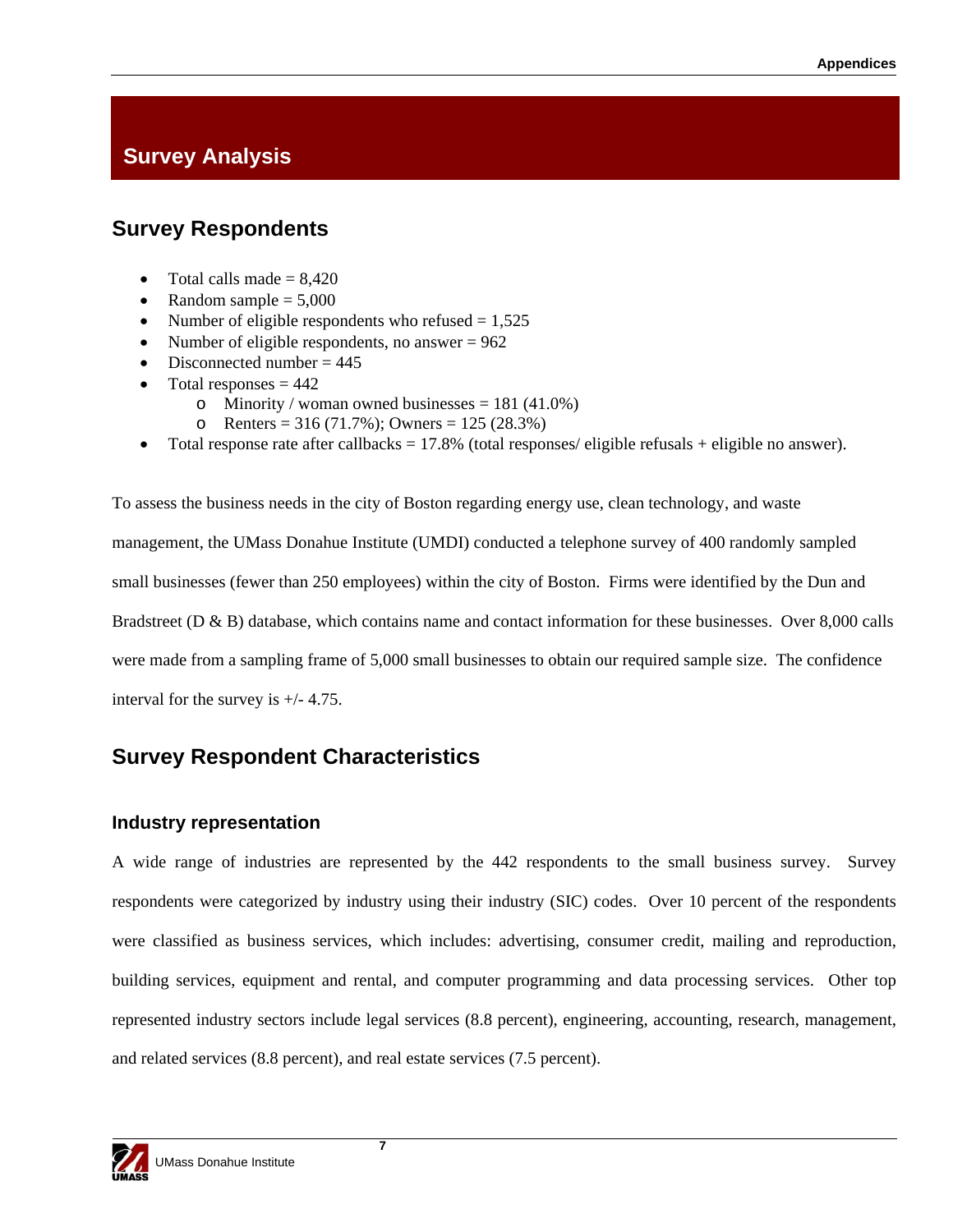# **Survey Analysis**

## **Survey Respondents**

- Total calls made  $= 8.420$
- Random sample  $= 5,000$
- Number of eligible respondents who refused  $= 1,525$
- Number of eligible respondents, no answer  $= 962$
- Disconnected number  $= 445$
- Total responses  $= 442$ 
	- o Minority / woman owned businesses =  $181 (41.0%)$
	- o Renters = 316 (71.7%); Owners = 125 (28.3%)
- Total response rate after callbacks =  $17.8\%$  (total responses/ eligible refusals + eligible no answer).

To assess the business needs in the city of Boston regarding energy use, clean technology, and waste management, the UMass Donahue Institute (UMDI) conducted a telephone survey of 400 randomly sampled small businesses (fewer than 250 employees) within the city of Boston. Firms were identified by the Dun and Bradstreet (D & B) database, which contains name and contact information for these businesses. Over 8,000 calls were made from a sampling frame of 5,000 small businesses to obtain our required sample size. The confidence interval for the survey is +/- 4.75.

## **Survey Respondent Characteristics**

### **Industry representation**

A wide range of industries are represented by the 442 respondents to the small business survey. Survey respondents were categorized by industry using their industry (SIC) codes. Over 10 percent of the respondents were classified as business services, which includes: advertising, consumer credit, mailing and reproduction, building services, equipment and rental, and computer programming and data processing services. Other top represented industry sectors include legal services (8.8 percent), engineering, accounting, research, management, and related services (8.8 percent), and real estate services (7.5 percent).

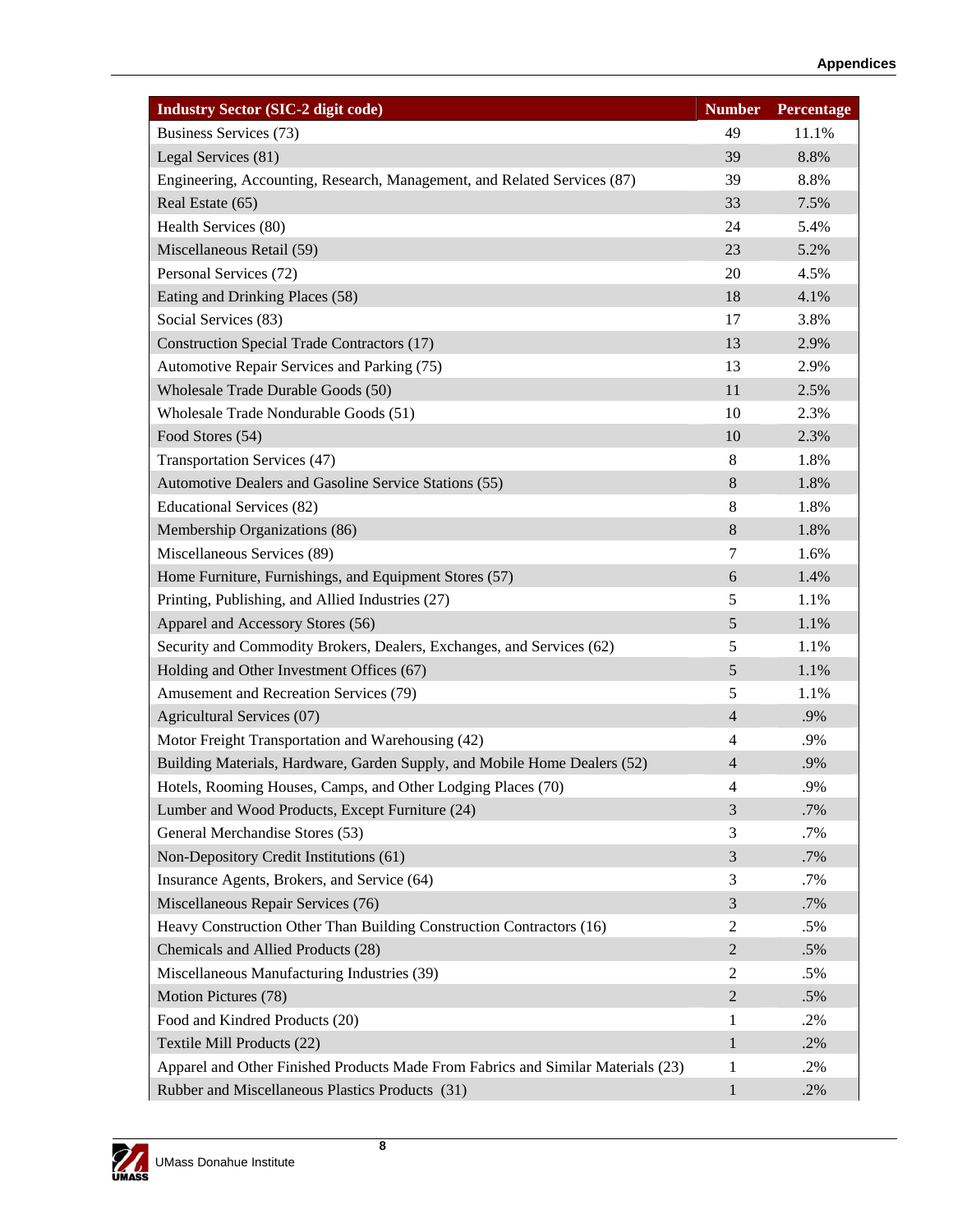| <b>Industry Sector (SIC-2 digit code)</b>                                        | <b>Number</b>  | Percentage |
|----------------------------------------------------------------------------------|----------------|------------|
| Business Services (73)                                                           | 49             | 11.1%      |
| Legal Services (81)                                                              | 39             | 8.8%       |
| Engineering, Accounting, Research, Management, and Related Services (87)         | 39             | 8.8%       |
| Real Estate (65)                                                                 | 33             | 7.5%       |
| Health Services (80)                                                             | 24             | 5.4%       |
| Miscellaneous Retail (59)                                                        | 23             | 5.2%       |
| Personal Services (72)                                                           | 20             | 4.5%       |
| Eating and Drinking Places (58)                                                  | 18             | 4.1%       |
| Social Services (83)                                                             | 17             | 3.8%       |
| <b>Construction Special Trade Contractors (17)</b>                               | 13             | 2.9%       |
| Automotive Repair Services and Parking (75)                                      | 13             | 2.9%       |
| Wholesale Trade Durable Goods (50)                                               | 11             | 2.5%       |
| Wholesale Trade Nondurable Goods (51)                                            | 10             | 2.3%       |
| Food Stores (54)                                                                 | 10             | 2.3%       |
| Transportation Services (47)                                                     | 8              | 1.8%       |
| Automotive Dealers and Gasoline Service Stations (55)                            | $8\,$          | 1.8%       |
| <b>Educational Services (82)</b>                                                 | 8              | 1.8%       |
| Membership Organizations (86)                                                    | $8\,$          | 1.8%       |
| Miscellaneous Services (89)                                                      | 7              | 1.6%       |
| Home Furniture, Furnishings, and Equipment Stores (57)                           | 6              | 1.4%       |
| Printing, Publishing, and Allied Industries (27)                                 | 5              | 1.1%       |
| Apparel and Accessory Stores (56)                                                | 5              | 1.1%       |
| Security and Commodity Brokers, Dealers, Exchanges, and Services (62)            | 5              | 1.1%       |
| Holding and Other Investment Offices (67)                                        | 5              | 1.1%       |
| Amusement and Recreation Services (79)                                           | 5              | 1.1%       |
| Agricultural Services (07)                                                       | $\overline{4}$ | .9%        |
| Motor Freight Transportation and Warehousing (42)                                | 4              | .9%        |
| Building Materials, Hardware, Garden Supply, and Mobile Home Dealers (52)        | $\overline{4}$ | .9%        |
| Hotels, Rooming Houses, Camps, and Other Lodging Places (70)                     | 4              | .9%        |
| Lumber and Wood Products, Except Furniture (24)                                  | 3              | .7%        |
| General Merchandise Stores (53)                                                  | 3              | .7%        |
| Non-Depository Credit Institutions (61)                                          | 3              | .7%        |
| Insurance Agents, Brokers, and Service (64)                                      | 3              | .7%        |
| Miscellaneous Repair Services (76)                                               | $\mathfrak{Z}$ | .7%        |
| Heavy Construction Other Than Building Construction Contractors (16)             | 2              | .5%        |
| Chemicals and Allied Products (28)                                               | $\overline{2}$ | .5%        |
| Miscellaneous Manufacturing Industries (39)                                      | 2              | .5%        |
| Motion Pictures (78)                                                             | $\overline{2}$ | .5%        |
| Food and Kindred Products (20)                                                   | 1              | .2%        |
| Textile Mill Products (22)                                                       | $\mathbf{1}$   | .2%        |
| Apparel and Other Finished Products Made From Fabrics and Similar Materials (23) | 1              | .2%        |
| Rubber and Miscellaneous Plastics Products (31)                                  | $\mathbf{1}$   | .2%        |

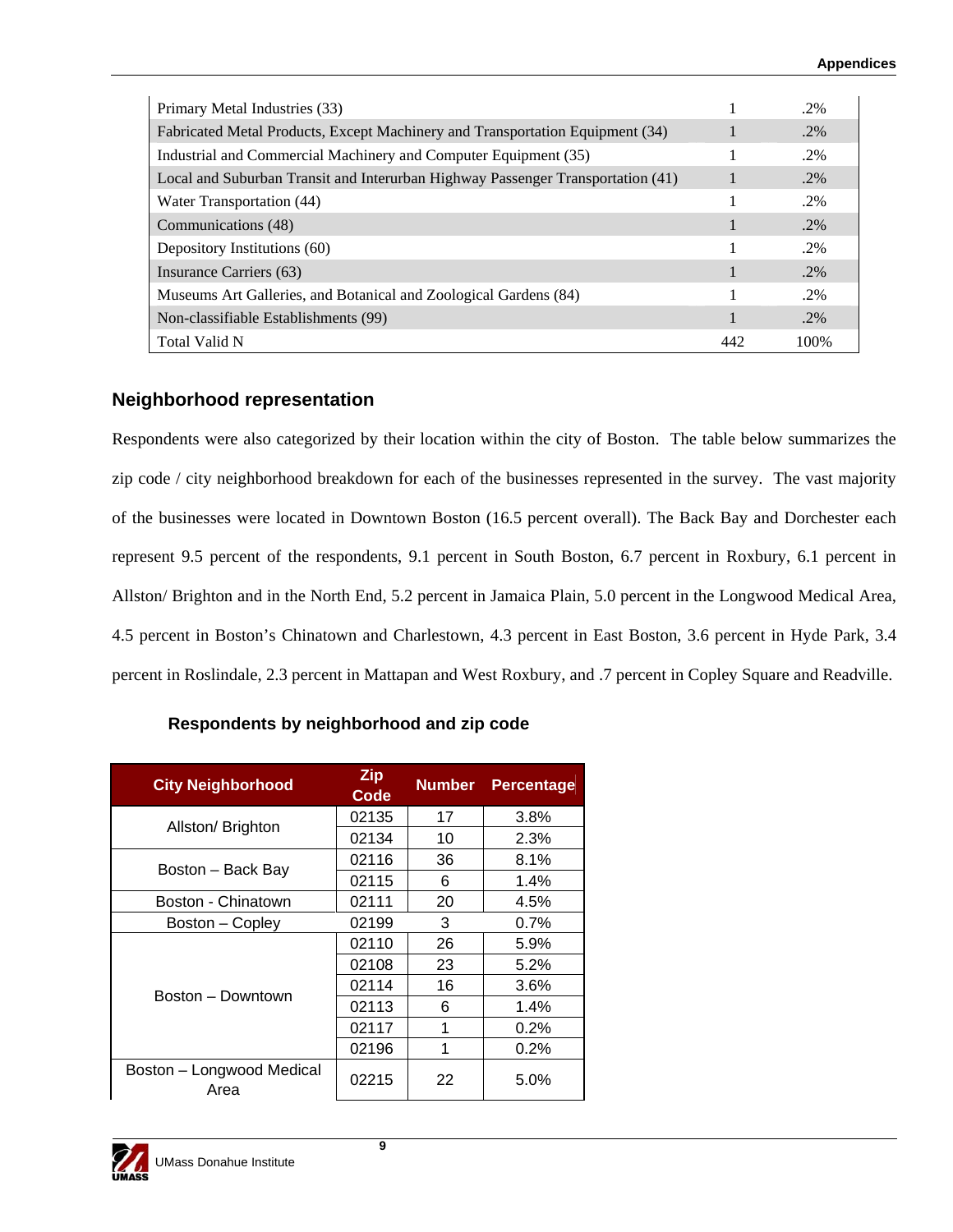| Primary Metal Industries (33)                                                   |     | $.2\%$ |
|---------------------------------------------------------------------------------|-----|--------|
| Fabricated Metal Products, Except Machinery and Transportation Equipment (34)   |     | $.2\%$ |
| Industrial and Commercial Machinery and Computer Equipment (35)                 |     | $.2\%$ |
| Local and Suburban Transit and Interurban Highway Passenger Transportation (41) |     | $.2\%$ |
| Water Transportation (44)                                                       |     | $.2\%$ |
| Communications (48)                                                             |     | $.2\%$ |
| Depository Institutions (60)                                                    |     | $.2\%$ |
| Insurance Carriers (63)                                                         |     | $.2\%$ |
| Museums Art Galleries, and Botanical and Zoological Gardens (84)                |     | $.2\%$ |
| Non-classifiable Establishments (99)                                            |     | $.2\%$ |
| Total Valid N                                                                   | 442 | 100%   |

#### **Neighborhood representation**

Respondents were also categorized by their location within the city of Boston. The table below summarizes the zip code / city neighborhood breakdown for each of the businesses represented in the survey. The vast majority of the businesses were located in Downtown Boston (16.5 percent overall). The Back Bay and Dorchester each represent 9.5 percent of the respondents, 9.1 percent in South Boston, 6.7 percent in Roxbury, 6.1 percent in Allston/ Brighton and in the North End, 5.2 percent in Jamaica Plain, 5.0 percent in the Longwood Medical Area, 4.5 percent in Boston's Chinatown and Charlestown, 4.3 percent in East Boston, 3.6 percent in Hyde Park, 3.4 percent in Roslindale, 2.3 percent in Mattapan and West Roxbury, and .7 percent in Copley Square and Readville.

| <b>City Neighborhood</b>          | <b>Zip</b><br><b>Code</b> | <b>Number</b> | <b>Percentage</b> |
|-----------------------------------|---------------------------|---------------|-------------------|
| Allston/Brighton                  | 02135                     | 17            | 3.8%              |
|                                   | 02134                     | 10            | 2.3%              |
|                                   | 02116                     | 36            | 8.1%              |
| Boston – Back Bay                 | 02115                     | 6             | 1.4%              |
| Boston - Chinatown                | 02111                     | 20            | 4.5%              |
| Boston – Copley                   | 02199                     | 3             | 0.7%              |
|                                   | 02110                     | 26            | 5.9%              |
|                                   | 02108                     | 23            | 5.2%              |
| Boston – Downtown                 | 02114                     | 16            | 3.6%              |
|                                   | 02113                     | 6             | 1.4%              |
|                                   | 02117                     | 1             | 0.2%              |
|                                   | 02196                     | 1             | 0.2%              |
| Boston - Longwood Medical<br>Area | 02215                     | 22            | 5.0%              |

### **Respondents by neighborhood and zip code**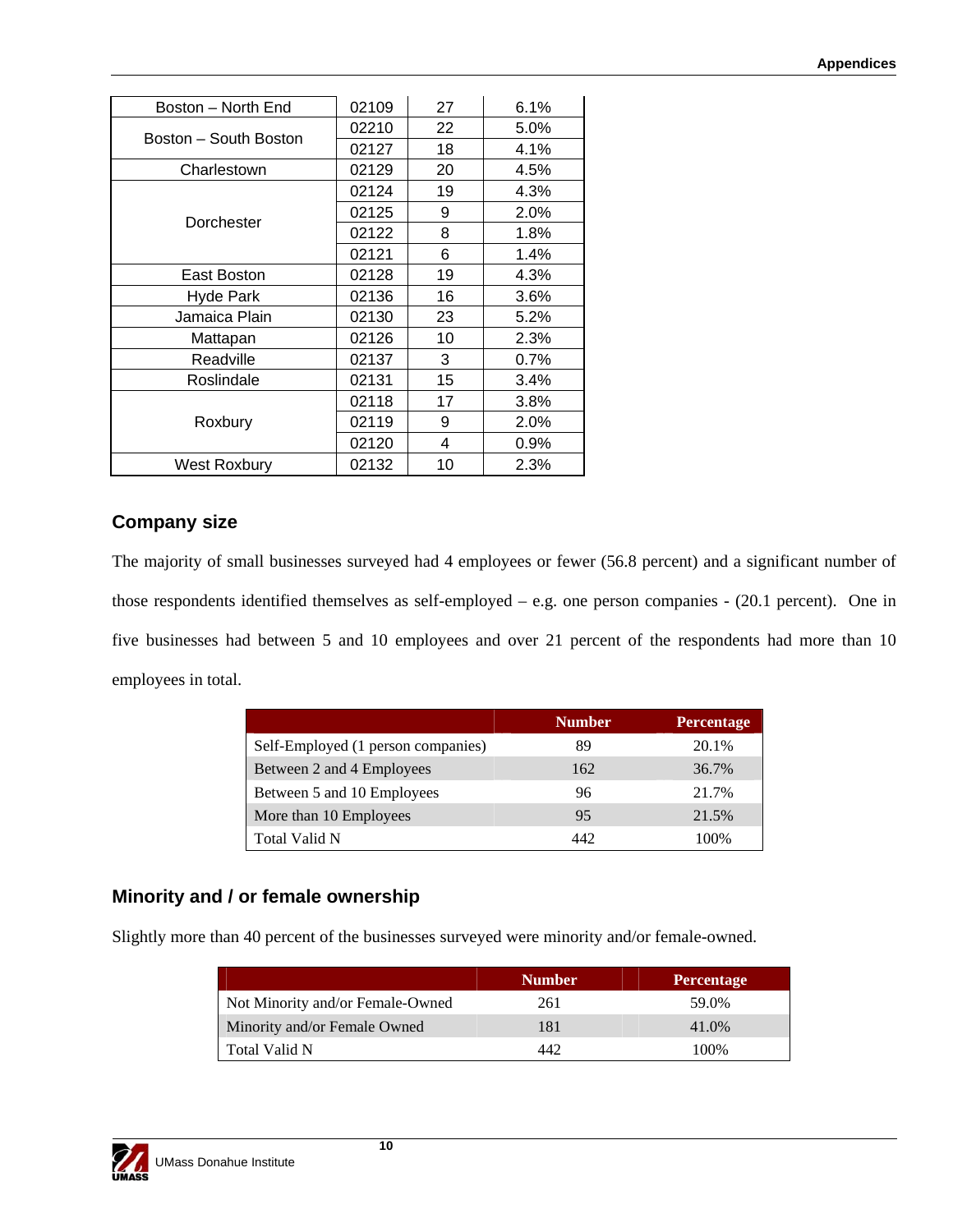| Boston - North End    | 02109 | 27 | 6.1%    |
|-----------------------|-------|----|---------|
|                       | 02210 | 22 | 5.0%    |
| Boston – South Boston | 02127 | 18 | 4.1%    |
| Charlestown           | 02129 | 20 | 4.5%    |
|                       | 02124 | 19 | 4.3%    |
|                       | 02125 | 9  | 2.0%    |
| Dorchester            | 02122 | 8  | 1.8%    |
|                       | 02121 | 6  | 1.4%    |
| East Boston           | 02128 | 19 | 4.3%    |
| Hyde Park             | 02136 | 16 | $3.6\%$ |
| Jamaica Plain         | 02130 | 23 | 5.2%    |
| Mattapan              | 02126 | 10 | 2.3%    |
| Readville             | 02137 | 3  | 0.7%    |
| Roslindale            | 02131 | 15 | 3.4%    |
|                       | 02118 | 17 | 3.8%    |
| Roxbury               | 02119 | 9  | 2.0%    |
|                       | 02120 | 4  | $0.9\%$ |
| West Roxbury          | 02132 | 10 | 2.3%    |

### **Company size**

The majority of small businesses surveyed had 4 employees or fewer (56.8 percent) and a significant number of those respondents identified themselves as self-employed – e.g. one person companies - (20.1 percent). One in five businesses had between 5 and 10 employees and over 21 percent of the respondents had more than 10 employees in total.

|                                    | <b>Number</b> | <b>Percentage</b> |
|------------------------------------|---------------|-------------------|
| Self-Employed (1 person companies) | 89            | 20.1%             |
| Between 2 and 4 Employees          | 162           | 36.7%             |
| Between 5 and 10 Employees         | 96            | 21.7%             |
| More than 10 Employees             | 95            | 21.5%             |
| Total Valid N                      | 442           | 100%              |

### **Minority and / or female ownership**

Slightly more than 40 percent of the businesses surveyed were minority and/or female-owned.

|                                  | <b>Number</b> | <b>Percentage</b> |
|----------------------------------|---------------|-------------------|
| Not Minority and/or Female-Owned | 261           | 59.0%             |
| Minority and/or Female Owned     | 181           | 41.0%             |
| Total Valid N                    | 449           | 100%              |

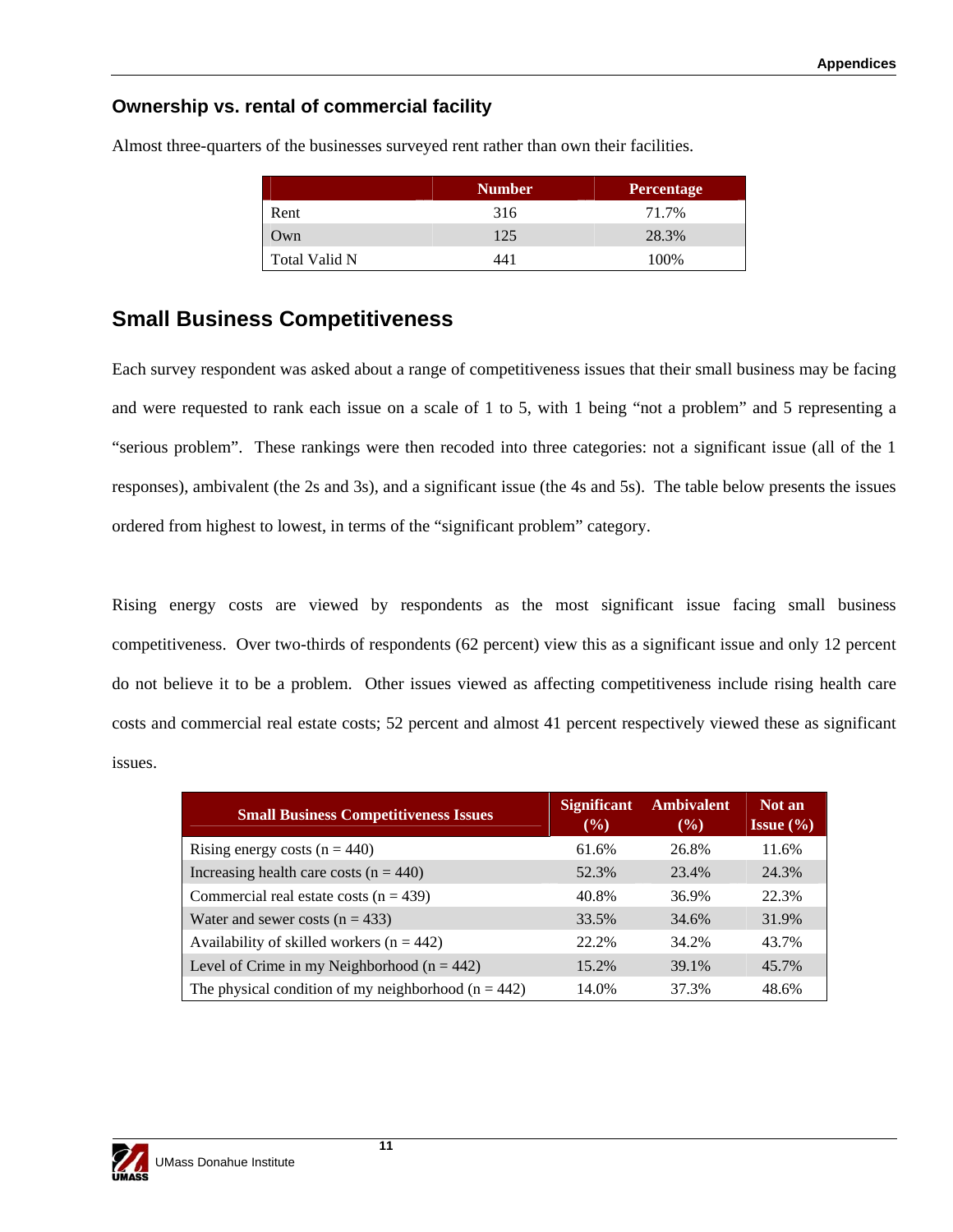### **Ownership vs. rental of commercial facility**

|               | <b>Number</b> | <b>Percentage</b> |
|---------------|---------------|-------------------|
| Rent          | 316           | 71.7%             |
| Own           | 125           | 28.3%             |
| Total Valid N | 441           | 100\%             |

Almost three-quarters of the businesses surveyed rent rather than own their facilities.

### **Small Business Competitiveness**

Each survey respondent was asked about a range of competitiveness issues that their small business may be facing and were requested to rank each issue on a scale of 1 to 5, with 1 being "not a problem" and 5 representing a "serious problem". These rankings were then recoded into three categories: not a significant issue (all of the 1 responses), ambivalent (the 2s and 3s), and a significant issue (the 4s and 5s). The table below presents the issues ordered from highest to lowest, in terms of the "significant problem" category.

Rising energy costs are viewed by respondents as the most significant issue facing small business competitiveness. Over two-thirds of respondents (62 percent) view this as a significant issue and only 12 percent do not believe it to be a problem. Other issues viewed as affecting competitiveness include rising health care costs and commercial real estate costs; 52 percent and almost 41 percent respectively viewed these as significant issues.

| <b>Small Business Competitiveness Issues</b>            | <b>Significant</b><br>$($ %) | <b>Ambivalent</b><br>$\frac{9}{6}$ | Not an<br><b>Issue</b> $\left(\frac{9}{6}\right)$ |
|---------------------------------------------------------|------------------------------|------------------------------------|---------------------------------------------------|
| Rising energy costs $(n = 440)$                         | 61.6%                        | 26.8%                              | 11.6%                                             |
| Increasing health care costs $(n = 440)$                | 52.3%                        | 23.4%                              | 24.3%                                             |
| Commercial real estate costs ( $n = 439$ )              | 40.8%                        | 36.9%                              | 22.3%                                             |
| Water and sewer costs $(n = 433)$                       | 33.5%                        | 34.6%                              | 31.9%                                             |
| Availability of skilled workers ( $n = 442$ )           | 22.2%                        | 34.2%                              | 43.7%                                             |
| Level of Crime in my Neighborhood ( $n = 442$ )         | 15.2%                        | 39.1%                              | 45.7%                                             |
| The physical condition of my neighborhood ( $n = 442$ ) | 14.0%                        | 37.3%                              | 48.6%                                             |

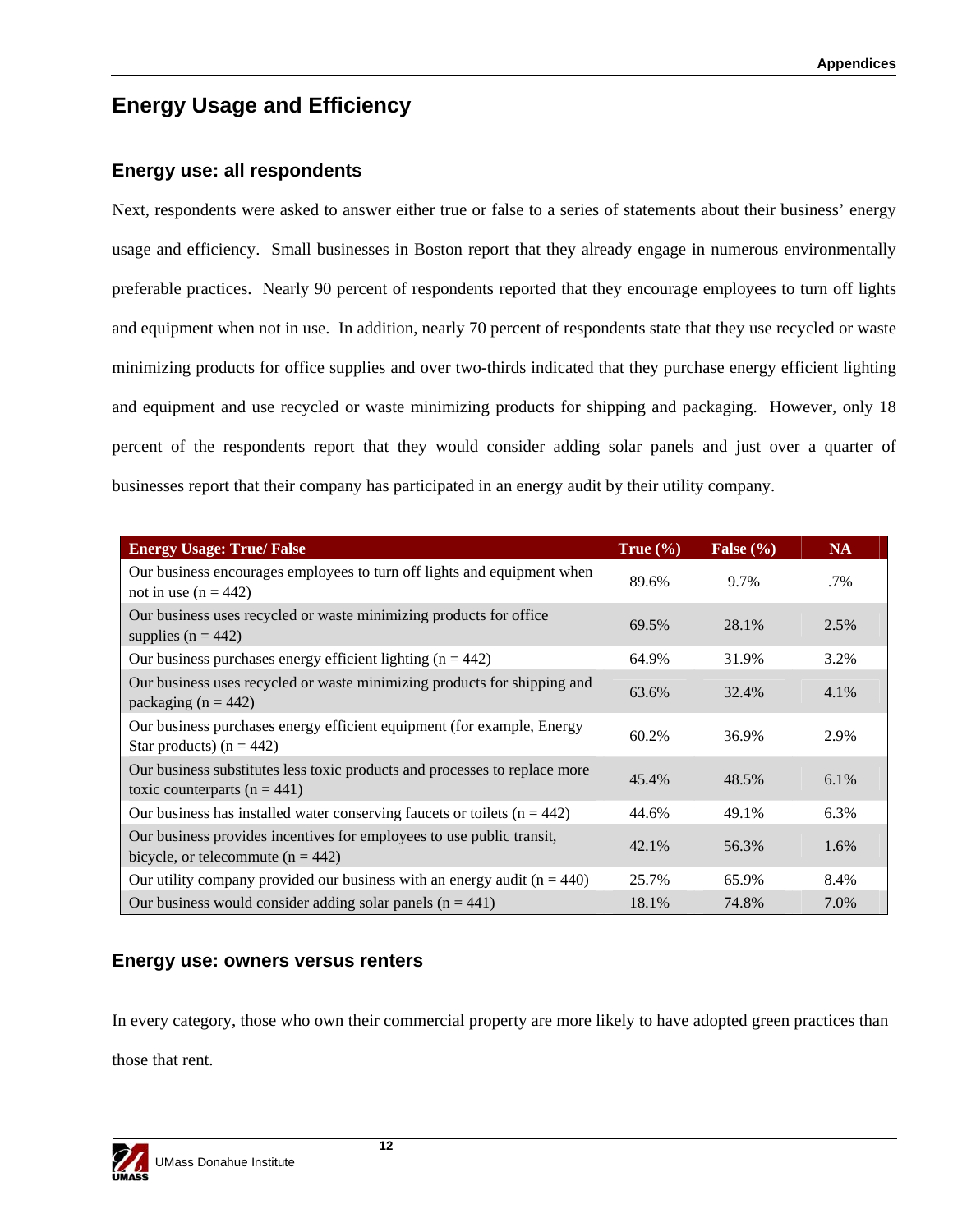## **Energy Usage and Efficiency**

### **Energy use: all respondents**

Next, respondents were asked to answer either true or false to a series of statements about their business' energy usage and efficiency. Small businesses in Boston report that they already engage in numerous environmentally preferable practices. Nearly 90 percent of respondents reported that they encourage employees to turn off lights and equipment when not in use. In addition, nearly 70 percent of respondents state that they use recycled or waste minimizing products for office supplies and over two-thirds indicated that they purchase energy efficient lighting and equipment and use recycled or waste minimizing products for shipping and packaging. However, only 18 percent of the respondents report that they would consider adding solar panels and just over a quarter of businesses report that their company has participated in an energy audit by their utility company.

| <b>Energy Usage: True/ False</b>                                                                               | True $(\% )$ | False $(\% )$ | <b>NA</b> |
|----------------------------------------------------------------------------------------------------------------|--------------|---------------|-----------|
| Our business encourages employees to turn off lights and equipment when<br>not in use $(n = 442)$              | 89.6%        | 9.7%          | .7%       |
| Our business uses recycled or waste minimizing products for office<br>supplies $(n = 442)$                     | 69.5%        | 28.1%         | 2.5%      |
| Our business purchases energy efficient lighting $(n = 442)$                                                   | 64.9%        | 31.9%         | 3.2%      |
| Our business uses recycled or waste minimizing products for shipping and<br>packaging ( $n = 442$ )            | 63.6%        | 32.4%         | 4.1%      |
| Our business purchases energy efficient equipment (for example, Energy<br>Star products) ( $n = 442$ )         | 60.2%        | 36.9%         | 2.9%      |
| Our business substitutes less toxic products and processes to replace more<br>toxic counterparts ( $n = 441$ ) | 45.4%        | 48.5%         | 6.1%      |
| Our business has installed water conserving faucets or toilets $(n = 442)$                                     | 44.6%        | 49.1%         | 6.3%      |
| Our business provides incentives for employees to use public transit,<br>bicycle, or telecommute $(n = 442)$   | 42.1%        | 56.3%         | 1.6%      |
| Our utility company provided our business with an energy audit ( $n = 440$ )                                   | 25.7%        | 65.9%         | 8.4%      |
| Our business would consider adding solar panels $(n = 441)$                                                    | 18.1%        | 74.8%         | 7.0%      |

### **Energy use: owners versus renters**

In every category, those who own their commercial property are more likely to have adopted green practices than those that rent.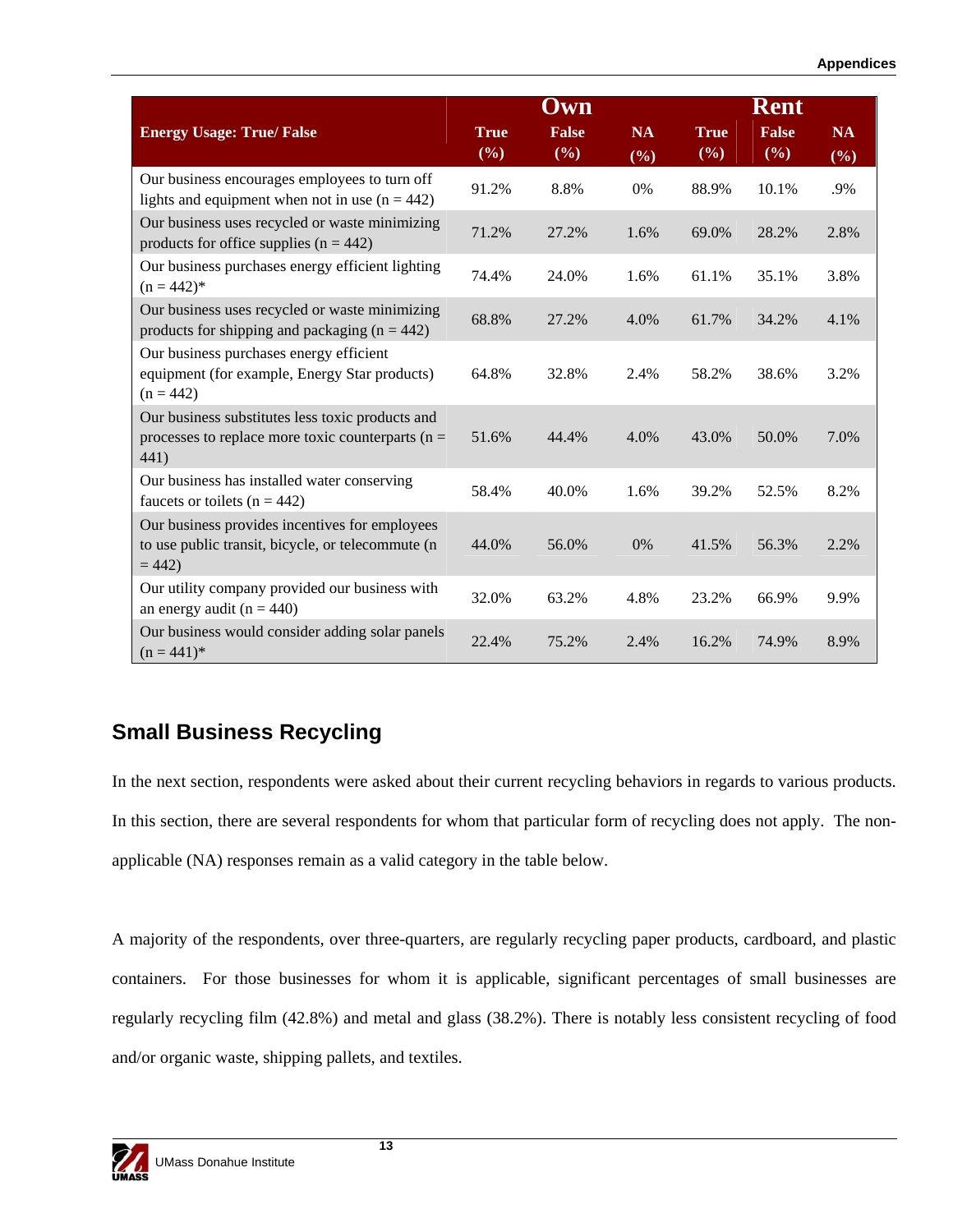|                                                                                                                  | Own                |                     |                  |                    | Rent                |                     |
|------------------------------------------------------------------------------------------------------------------|--------------------|---------------------|------------------|--------------------|---------------------|---------------------|
| <b>Energy Usage: True/ False</b>                                                                                 | <b>True</b><br>(%) | <b>False</b><br>(%) | <b>NA</b><br>(%) | <b>True</b><br>(%) | <b>False</b><br>(%) | <b>NA</b><br>$(\%)$ |
| Our business encourages employees to turn off<br>lights and equipment when not in use $(n = 442)$                | 91.2%              | 8.8%                | 0%               | 88.9%              | 10.1%               | .9%                 |
| Our business uses recycled or waste minimizing<br>products for office supplies $(n = 442)$                       | 71.2%              | 27.2%               | 1.6%             | 69.0%              | 28.2%               | 2.8%                |
| Our business purchases energy efficient lighting<br>$(n = 442)^*$                                                | 74.4%              | 24.0%               | 1.6%             | 61.1%              | 35.1%               | 3.8%                |
| Our business uses recycled or waste minimizing<br>products for shipping and packaging ( $n = 442$ )              | 68.8%              | 27.2%               | 4.0%             | 61.7%              | 34.2%               | 4.1%                |
| Our business purchases energy efficient<br>equipment (for example, Energy Star products)<br>$(n = 442)$          | 64.8%              | 32.8%               | 2.4%             | 58.2%              | 38.6%               | 3.2%                |
| Our business substitutes less toxic products and<br>processes to replace more toxic counterparts ( $n =$<br>441) | 51.6%              | 44.4%               | 4.0%             | 43.0%              | 50.0%               | 7.0%                |
| Our business has installed water conserving<br>faucets or toilets ( $n = 442$ )                                  | 58.4%              | 40.0%               | 1.6%             | 39.2%              | 52.5%               | 8.2%                |
| Our business provides incentives for employees<br>to use public transit, bicycle, or telecommute (n<br>$= 442$   | 44.0%              | 56.0%               | 0%               | 41.5%              | 56.3%               | 2.2%                |
| Our utility company provided our business with<br>an energy audit ( $n = 440$ )                                  | 32.0%              | 63.2%               | 4.8%             | 23.2%              | 66.9%               | 9.9%                |
| Our business would consider adding solar panels<br>$(n = 441)^*$                                                 | 22.4%              | 75.2%               | 2.4%             | 16.2%              | 74.9%               | 8.9%                |

## **Small Business Recycling**

In the next section, respondents were asked about their current recycling behaviors in regards to various products. In this section, there are several respondents for whom that particular form of recycling does not apply. The nonapplicable (NA) responses remain as a valid category in the table below.

A majority of the respondents, over three-quarters, are regularly recycling paper products, cardboard, and plastic containers. For those businesses for whom it is applicable, significant percentages of small businesses are regularly recycling film (42.8%) and metal and glass (38.2%). There is notably less consistent recycling of food and/or organic waste, shipping pallets, and textiles.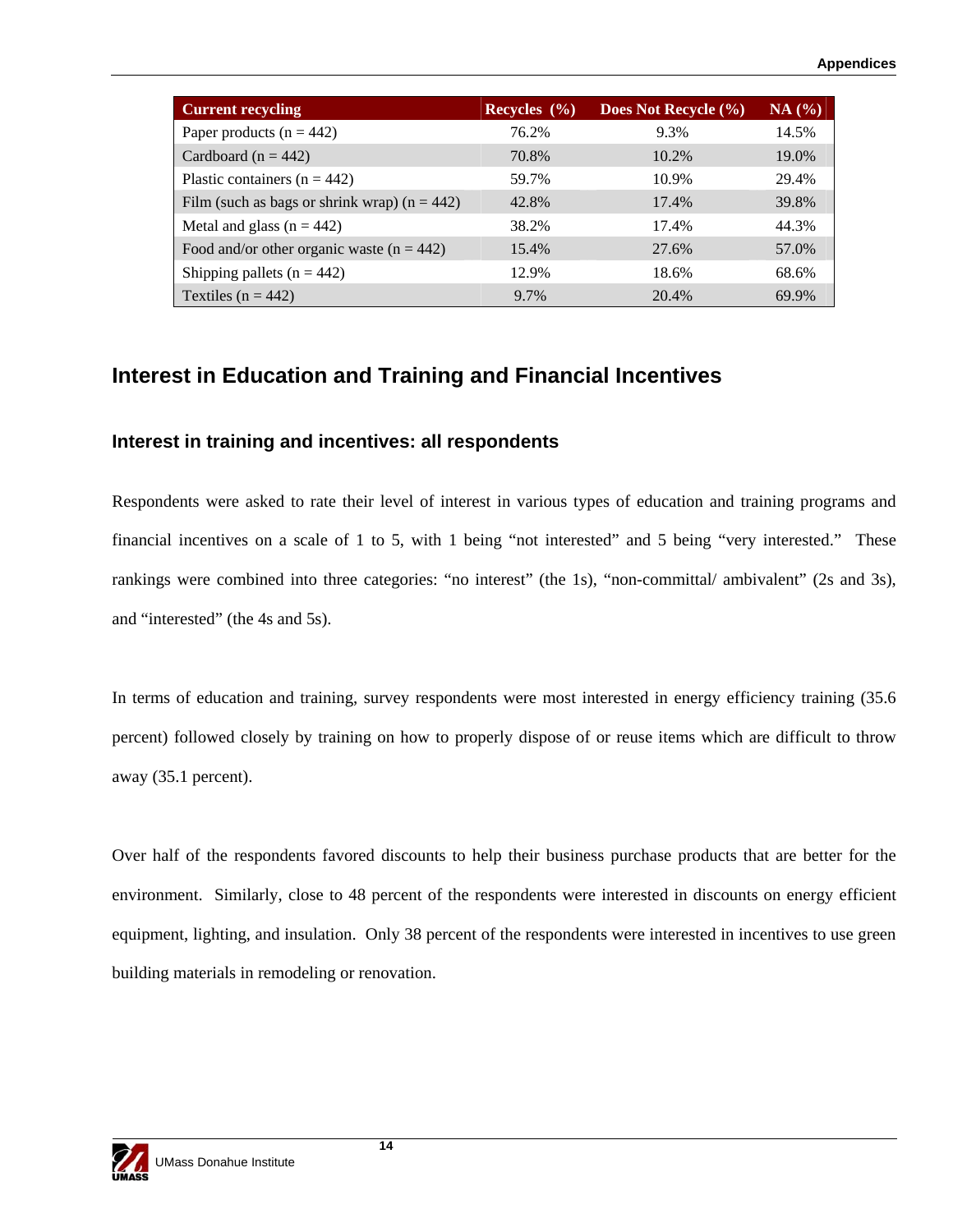| <b>Current recycling</b>                       | Recycles $(\% )$ | Does Not Recycle (%) | NA(%) |
|------------------------------------------------|------------------|----------------------|-------|
| Paper products $(n = 442)$                     | 76.2%            | 9.3%                 | 14.5% |
| Cardboard ( $n = 442$ )                        | 70.8%            | 10.2%                | 19.0% |
| Plastic containers ( $n = 442$ )               | 59.7%            | 10.9%                | 29.4% |
| Film (such as bags or shrink wrap) $(n = 442)$ | 42.8%            | 17.4%                | 39.8% |
| Metal and glass $(n = 442)$                    | 38.2%            | 17.4%                | 44.3% |
| Food and/or other organic waste $(n = 442)$    | 15.4%            | 27.6%                | 57.0% |
| Shipping pallets ( $n = 442$ )                 | 12.9%            | 18.6%                | 68.6% |
| Textiles ( $n = 442$ )                         | 9.7%             | 20.4%                | 69.9% |

### **Interest in Education and Training and Financial Incentives**

#### **Interest in training and incentives: all respondents**

Respondents were asked to rate their level of interest in various types of education and training programs and financial incentives on a scale of 1 to 5, with 1 being "not interested" and 5 being "very interested." These rankings were combined into three categories: "no interest" (the 1s), "non-committal/ ambivalent" (2s and 3s), and "interested" (the 4s and 5s).

In terms of education and training, survey respondents were most interested in energy efficiency training (35.6 percent) followed closely by training on how to properly dispose of or reuse items which are difficult to throw away (35.1 percent).

Over half of the respondents favored discounts to help their business purchase products that are better for the environment. Similarly, close to 48 percent of the respondents were interested in discounts on energy efficient equipment, lighting, and insulation. Only 38 percent of the respondents were interested in incentives to use green building materials in remodeling or renovation.

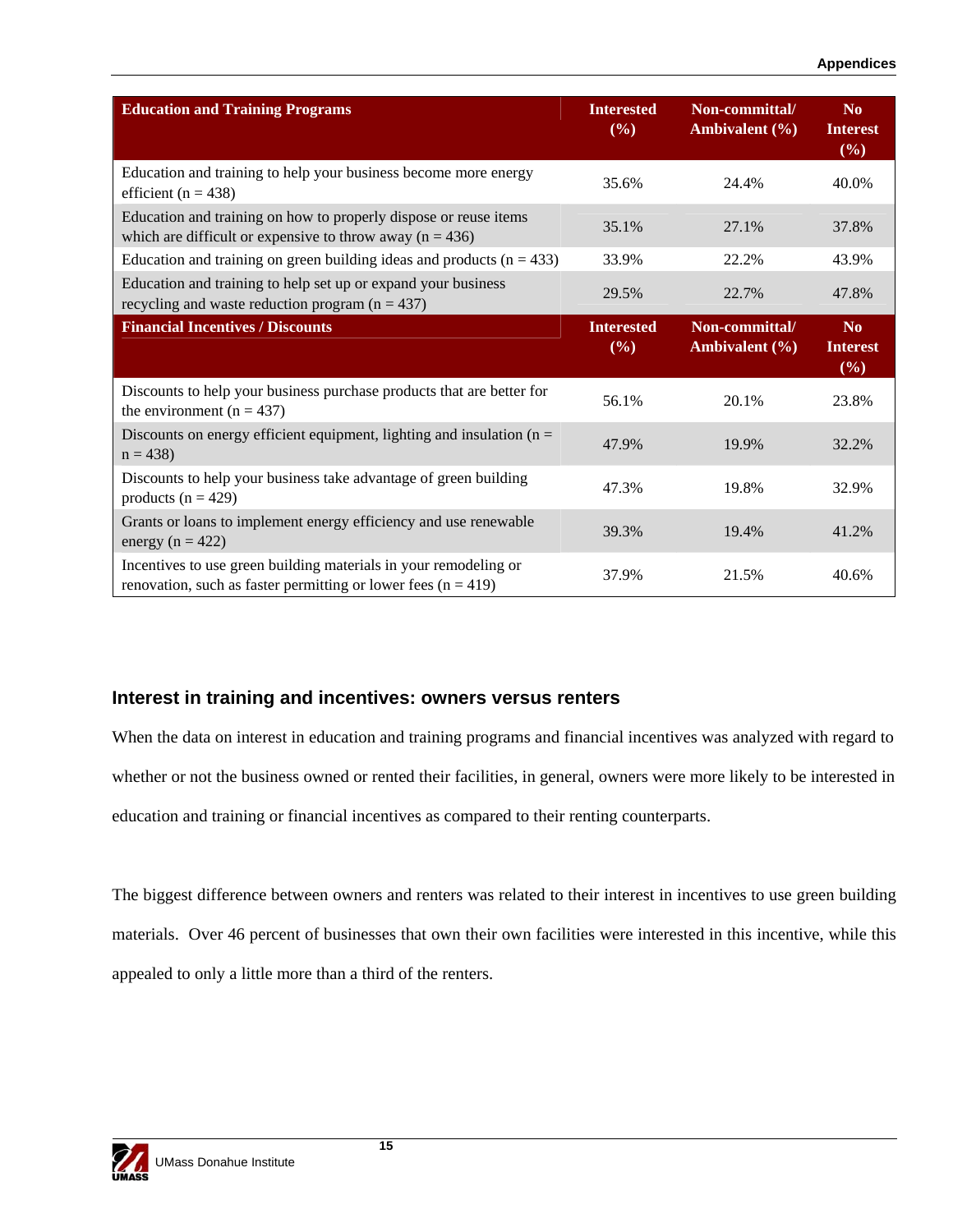| <b>Education and Training Programs</b>                                                                                              | <b>Interested</b><br>(%) | Non-committal/<br>Ambivalent (%)     | No<br><b>Interest</b><br>$($ %)          |
|-------------------------------------------------------------------------------------------------------------------------------------|--------------------------|--------------------------------------|------------------------------------------|
| Education and training to help your business become more energy<br>efficient ( $n = 438$ )                                          | 35.6%                    | 24.4%                                | 40.0%                                    |
| Education and training on how to properly dispose or reuse items<br>which are difficult or expensive to throw away ( $n = 436$ )    | 35.1%                    | 27.1%                                | 37.8%                                    |
| Education and training on green building ideas and products $(n = 433)$                                                             | 33.9%                    | 22.2%                                | 43.9%                                    |
| Education and training to help set up or expand your business<br>recycling and waste reduction program ( $n = 437$ )                | 29.5%                    | 22.7%                                | 47.8%                                    |
| <b>Financial Incentives / Discounts</b>                                                                                             | <b>Interested</b><br>(%) | Non-committal/<br>Ambivalent $(\% )$ | N <sub>0</sub><br><b>Interest</b><br>(%) |
| Discounts to help your business purchase products that are better for<br>the environment $(n = 437)$                                | 56.1%                    | 20.1%                                | 23.8%                                    |
| Discounts on energy efficient equipment, lighting and insulation $(n =$<br>$n = 438$                                                | 47.9%                    | 19.9%                                | 32.2%                                    |
| Discounts to help your business take advantage of green building<br>products ( $n = 429$ )                                          | 47.3%                    | 19.8%                                | 32.9%                                    |
| Grants or loans to implement energy efficiency and use renewable<br>energy ( $n = 422$ )                                            | 39.3%                    | 19.4%                                | 41.2%                                    |
| Incentives to use green building materials in your remodeling or<br>renovation, such as faster permitting or lower fees $(n = 419)$ | 37.9%                    | 21.5%                                | 40.6%                                    |

#### **Interest in training and incentives: owners versus renters**

When the data on interest in education and training programs and financial incentives was analyzed with regard to whether or not the business owned or rented their facilities, in general, owners were more likely to be interested in education and training or financial incentives as compared to their renting counterparts.

The biggest difference between owners and renters was related to their interest in incentives to use green building materials. Over 46 percent of businesses that own their own facilities were interested in this incentive, while this appealed to only a little more than a third of the renters.

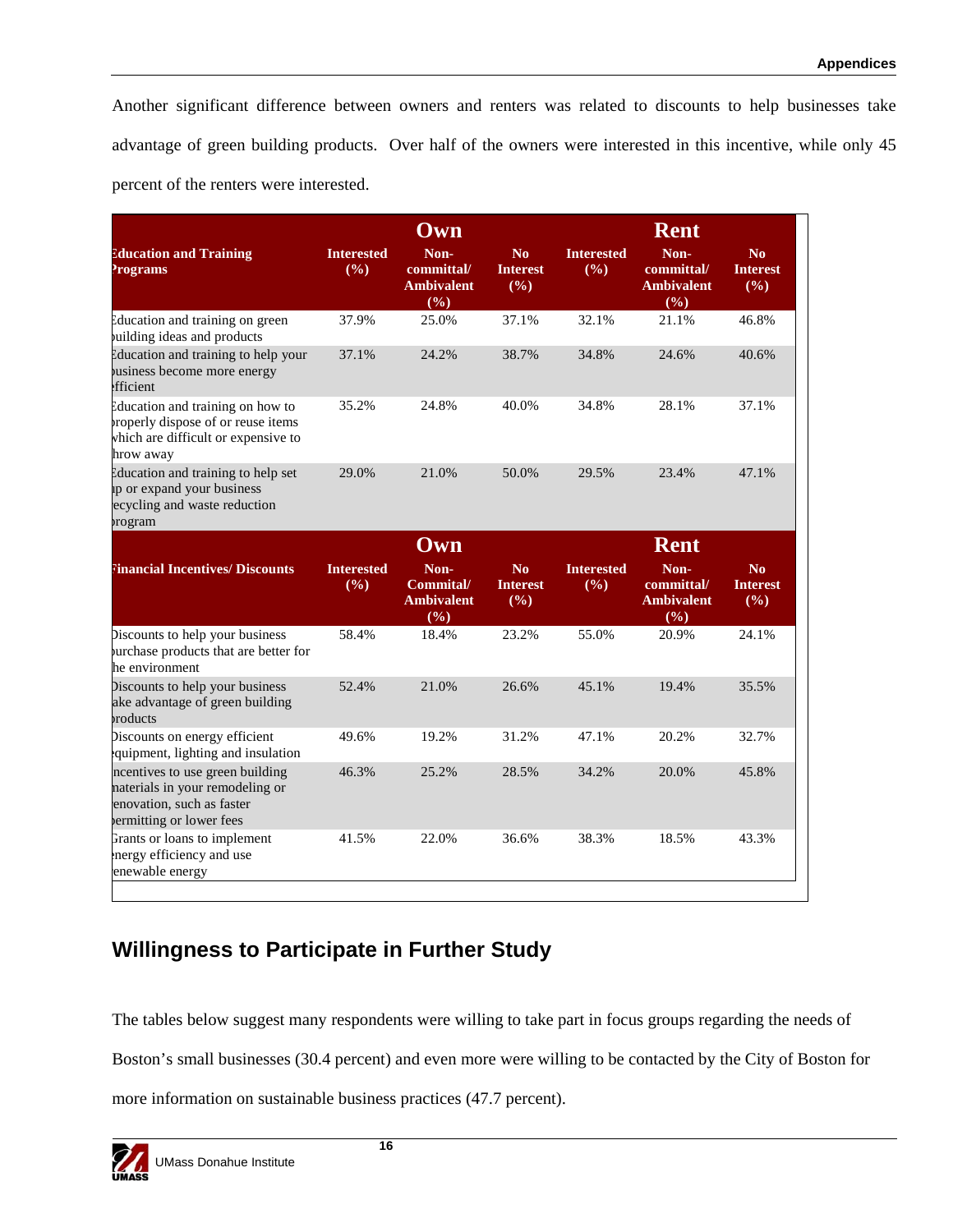Another significant difference between owners and renters was related to discounts to help businesses take advantage of green building products. Over half of the owners were interested in this incentive, while only 45 percent of the renters were interested.

|                                                                                                                            | Own                      |                                                |                                          | <b>Rent</b>              |                                                |                                          |  |
|----------------------------------------------------------------------------------------------------------------------------|--------------------------|------------------------------------------------|------------------------------------------|--------------------------|------------------------------------------------|------------------------------------------|--|
| <b>Education and Training</b><br><b>Programs</b>                                                                           | <b>Interested</b><br>(%) | Non-<br>committal/<br><b>Ambivalent</b><br>(%) | N <sub>0</sub><br><b>Interest</b><br>(%) | <b>Interested</b><br>(%) | Non-<br>committal/<br><b>Ambivalent</b><br>(%) | N <sub>o</sub><br><b>Interest</b><br>(%) |  |
| Education and training on green<br>uilding ideas and products                                                              | 37.9%                    | 25.0%                                          | 37.1%                                    | 32.1%                    | 21.1%                                          | 46.8%                                    |  |
| Education and training to help your<br>usiness become more energy<br>fficient                                              | 37.1%                    | 24.2%                                          | 38.7%                                    | 34.8%                    | 24.6%                                          | 40.6%                                    |  |
| Education and training on how to<br>roperly dispose of or reuse items<br>which are difficult or expensive to<br>hrow away  | 35.2%                    | 24.8%                                          | 40.0%                                    | 34.8%                    | 28.1%                                          | 37.1%                                    |  |
| Education and training to help set<br>ip or expand your business<br>ecycling and waste reduction<br>rogram                 | 29.0%                    | 21.0%                                          | 50.0%                                    | 29.5%                    | 23.4%                                          | 47.1%                                    |  |
|                                                                                                                            |                          | Own                                            |                                          |                          | <b>Rent</b>                                    |                                          |  |
| <b>Tinancial Incentives/ Discounts</b>                                                                                     | <b>Interested</b><br>(%) | Non-<br>Commital/<br><b>Ambivalent</b><br>(%)  | N <sub>0</sub><br><b>Interest</b><br>(%) | <b>Interested</b><br>(%) | Non-<br>committal/<br><b>Ambivalent</b><br>(%) | No<br><b>Interest</b><br>(%)             |  |
| Discounts to help your business<br>urchase products that are better for<br>he environment                                  | 58.4%                    | 18.4%                                          | 23.2%                                    | 55.0%                    | 20.9%                                          | 24.1%                                    |  |
| Discounts to help your business<br>ake advantage of green building<br>roducts                                              | 52.4%                    | 21.0%                                          | 26.6%                                    | 45.1%                    | 19.4%                                          | 35.5%                                    |  |
| Discounts on energy efficient<br>quipment, lighting and insulation                                                         | 49.6%                    | 19.2%                                          | 31.2%                                    | 47.1%                    | 20.2%                                          | 32.7%                                    |  |
| ncentives to use green building<br>naterials in your remodeling or<br>enovation, such as faster<br>ermitting or lower fees | 46.3%                    | 25.2%                                          | 28.5%                                    | 34.2%                    | 20.0%                                          | 45.8%                                    |  |
| Grants or loans to implement<br>nergy efficiency and use<br>enewable energy                                                | 41.5%                    | 22.0%                                          | 36.6%                                    | 38.3%                    | 18.5%                                          | 43.3%                                    |  |

## **Willingness to Participate in Further Study**

The tables below suggest many respondents were willing to take part in focus groups regarding the needs of Boston's small businesses (30.4 percent) and even more were willing to be contacted by the City of Boston for more information on sustainable business practices (47.7 percent).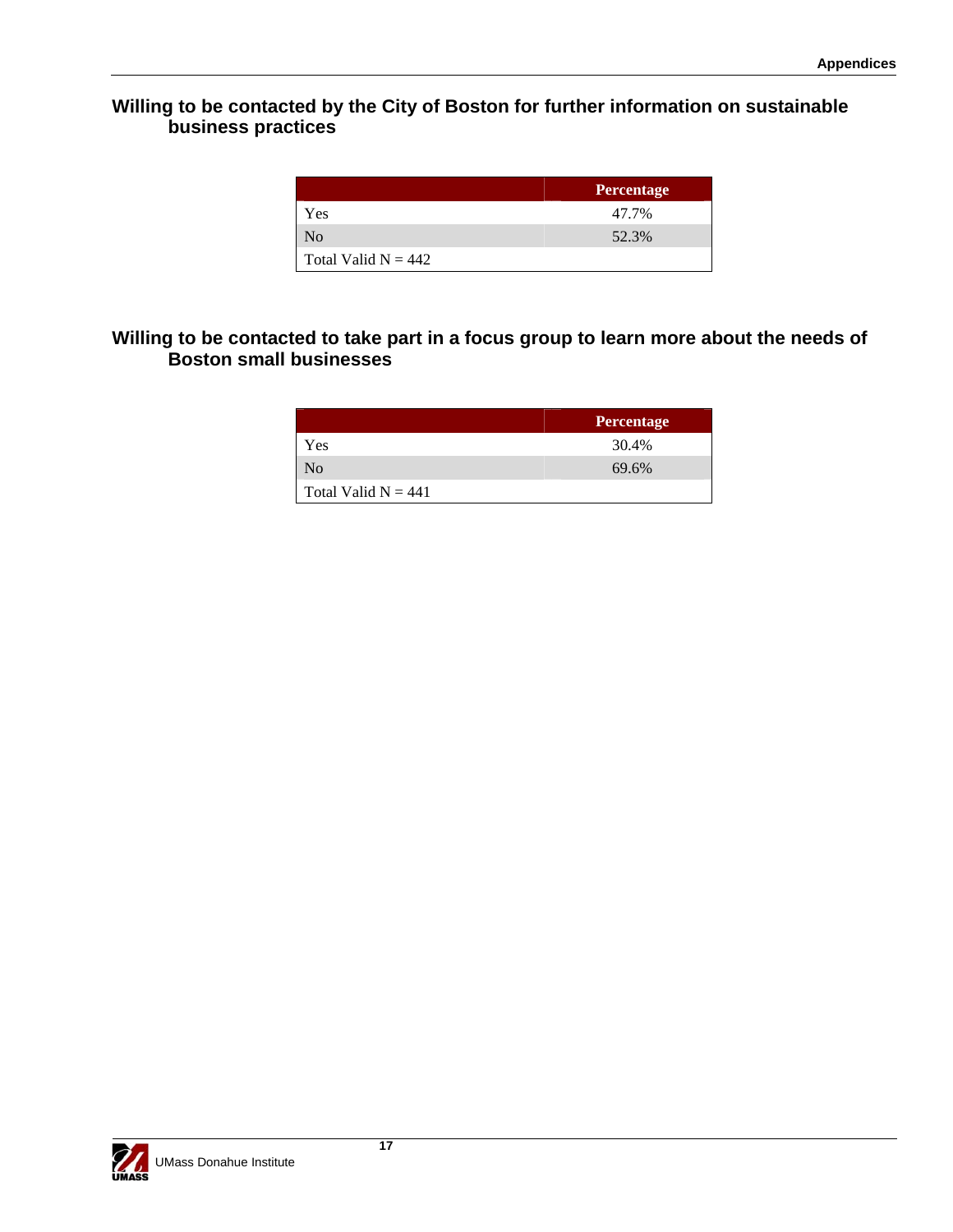### **Willing to be contacted by the City of Boston for further information on sustainable business practices**

|                       | <b>Percentage</b> |
|-----------------------|-------------------|
| Yes                   | 47.7%             |
| N <sub>0</sub>        | 52.3%             |
| Total Valid $N = 442$ |                   |

### **Willing to be contacted to take part in a focus group to learn more about the needs of Boston small businesses**

|                       | <b>Percentage</b> |
|-----------------------|-------------------|
| Yes                   | 30.4%             |
| No                    | 69.6%             |
| Total Valid $N = 441$ |                   |

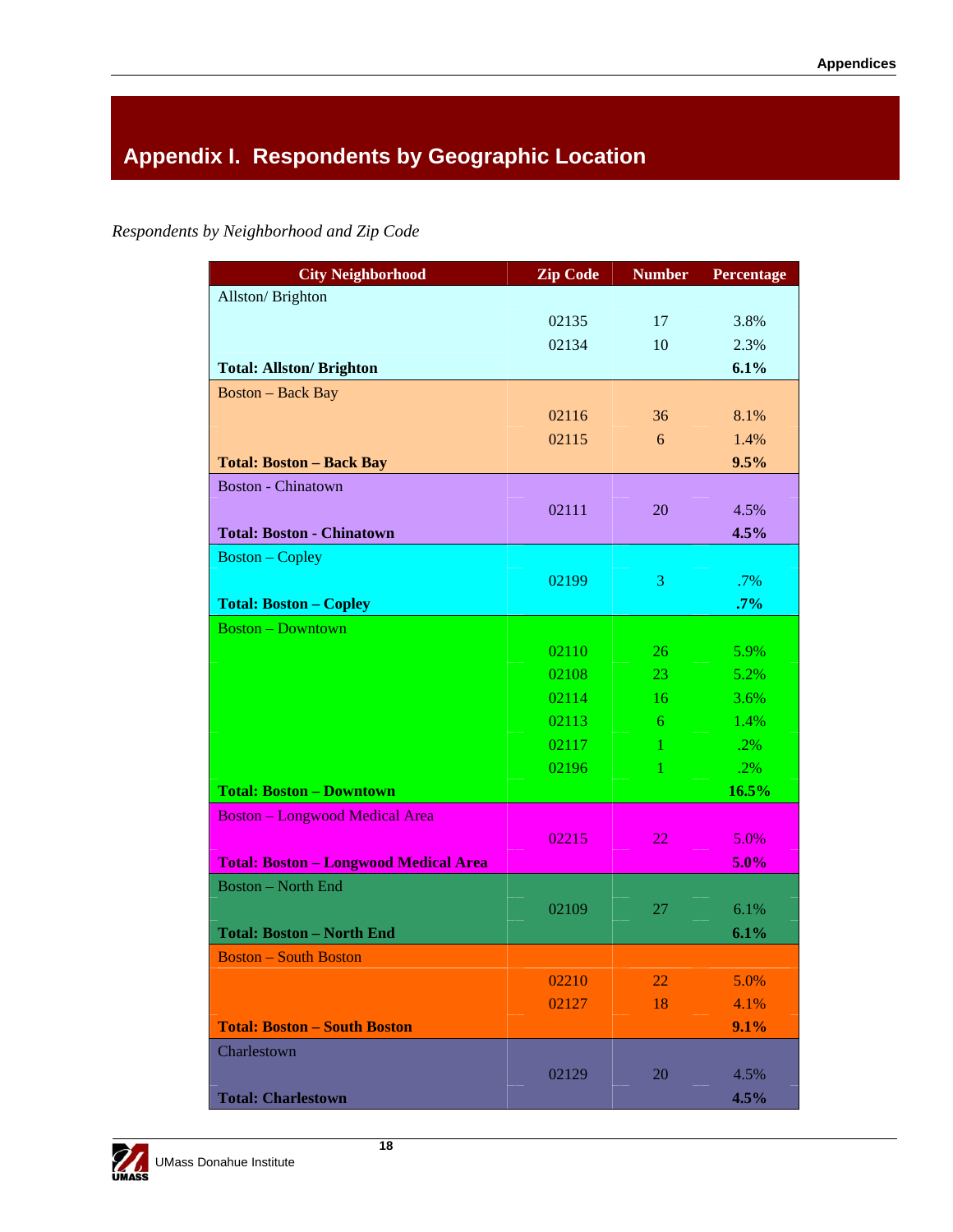# **Appendix I. Respondents by Geographic Location**

*Respondents by Neighborhood and Zip Code* 

| <b>City Neighborhood</b>                     | <b>Zip Code</b> | <b>Number</b> | <b>Percentage</b> |
|----------------------------------------------|-----------------|---------------|-------------------|
| Allston/Brighton                             |                 |               |                   |
|                                              | 02135           | 17            | 3.8%              |
|                                              | 02134           | 10            | 2.3%              |
| <b>Total: Allston/ Brighton</b>              |                 |               | 6.1%              |
| <b>Boston - Back Bay</b>                     |                 |               |                   |
|                                              | 02116           | 36            | 8.1%              |
|                                              | 02115           | 6             | 1.4%              |
| <b>Total: Boston - Back Bay</b>              |                 |               | 9.5%              |
| <b>Boston - Chinatown</b>                    |                 |               |                   |
|                                              | 02111           | 20            | 4.5%              |
| <b>Total: Boston - Chinatown</b>             |                 |               | 4.5%              |
| <b>Boston</b> – Copley                       |                 |               |                   |
|                                              | 02199           | 3             | .7%               |
| <b>Total: Boston - Copley</b>                |                 |               | $.7\%$            |
| <b>Boston - Downtown</b>                     |                 |               |                   |
|                                              | 02110           | 26            | 5.9%              |
|                                              | 02108           | 23            | 5.2%              |
|                                              | 02114           | 16            | 3.6%              |
|                                              | 02113           | 6             | 1.4%              |
|                                              | 02117           | 1             | .2%               |
|                                              | 02196           | 1             | .2%               |
| <b>Total: Boston - Downtown</b>              |                 |               | 16.5%             |
| <b>Boston - Longwood Medical Area</b>        |                 |               |                   |
|                                              | 02215           | 22            | 5.0%              |
| <b>Total: Boston - Longwood Medical Area</b> |                 |               | 5.0%              |
| <b>Boston - North End</b>                    |                 |               |                   |
|                                              | 02109           | 27            | 6.1%              |
| <b>Total: Boston - North End</b>             |                 |               | 6.1%              |
| <b>Boston - South Boston</b>                 |                 |               |                   |
|                                              | 02210           | 22            | 5.0%              |
|                                              | 02127           | 18            | 4.1%              |
| <b>Total: Boston - South Boston</b>          |                 |               | 9.1%              |
| Charlestown                                  |                 |               |                   |
|                                              | 02129           | 20            | 4.5%              |
| <b>Total: Charlestown</b>                    |                 |               | 4.5%              |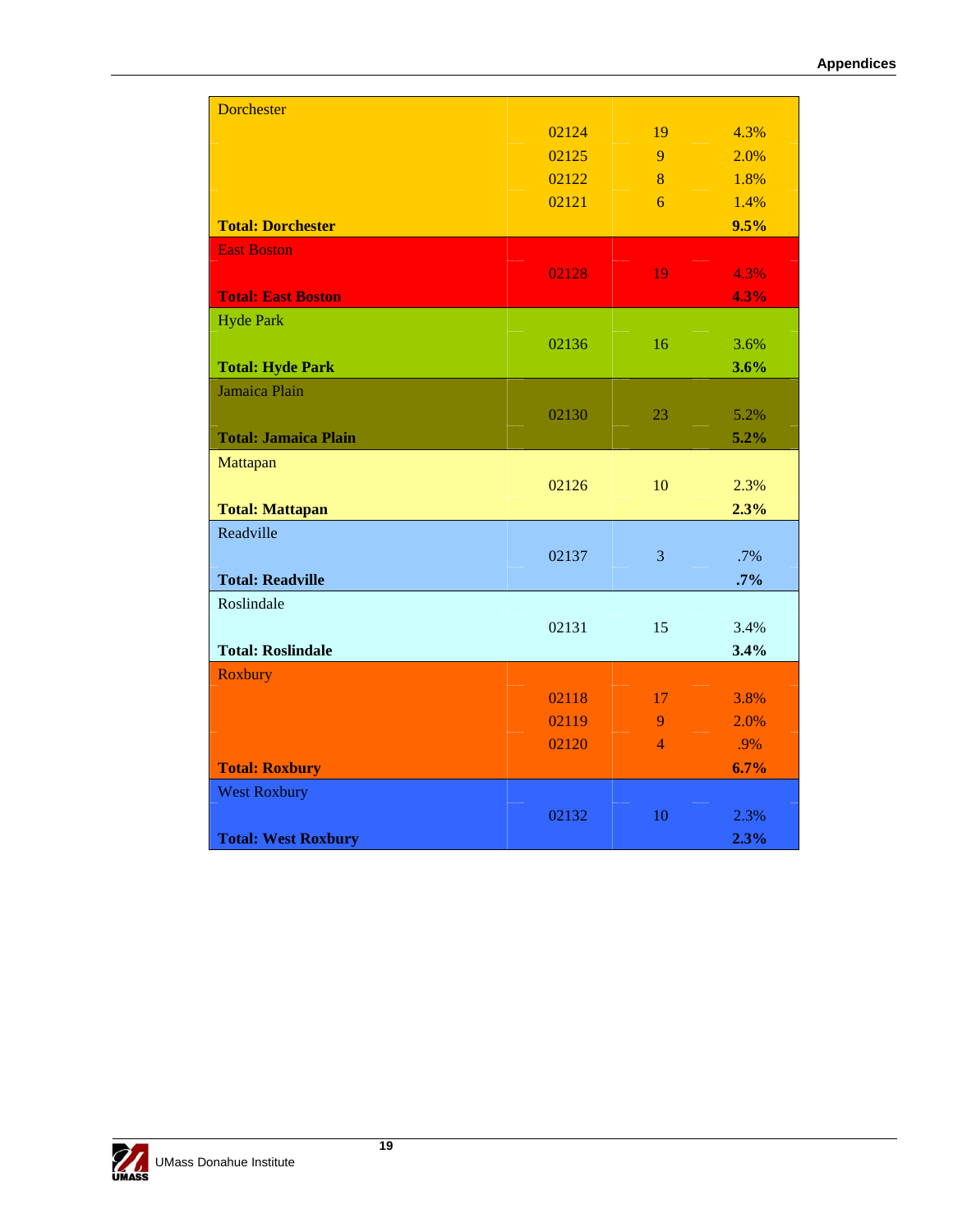| <b>Dorchester</b>           |       |                |      |
|-----------------------------|-------|----------------|------|
|                             | 02124 | 19             | 4.3% |
|                             | 02125 | 9              | 2.0% |
|                             | 02122 | 8              | 1.8% |
|                             | 02121 | 6              | 1.4% |
| <b>Total: Dorchester</b>    |       |                | 9.5% |
| <b>East Boston</b>          |       |                |      |
|                             | 02128 | 19             | 4.3% |
| <b>Total: East Boston</b>   |       |                | 4.3% |
| <b>Hyde Park</b>            |       |                |      |
|                             | 02136 | 16             | 3.6% |
| <b>Total: Hyde Park</b>     |       |                | 3.6% |
| Jamaica Plain               |       |                |      |
|                             | 02130 | 23             | 5.2% |
| <b>Total: Jamaica Plain</b> |       |                | 5.2% |
| Mattapan                    |       |                |      |
|                             | 02126 | 10             | 2.3% |
| <b>Total: Mattapan</b>      |       |                | 2.3% |
| Readville                   |       |                |      |
|                             | 02137 | 3              | .7%  |
| <b>Total: Readville</b>     |       |                | .7%  |
| Roslindale                  |       |                |      |
|                             | 02131 | 15             | 3.4% |
| <b>Total: Roslindale</b>    |       |                | 3.4% |
| Roxbury                     |       |                |      |
|                             | 02118 | 17             | 3.8% |
|                             | 02119 | 9              | 2.0% |
|                             | 02120 | $\overline{4}$ | .9%  |
| <b>Total: Roxbury</b>       |       |                | 6.7% |
| <b>West Roxbury</b>         |       |                |      |
|                             | 02132 | 10             | 2.3% |
| <b>Total: West Roxbury</b>  |       |                | 2.3% |
|                             |       |                |      |

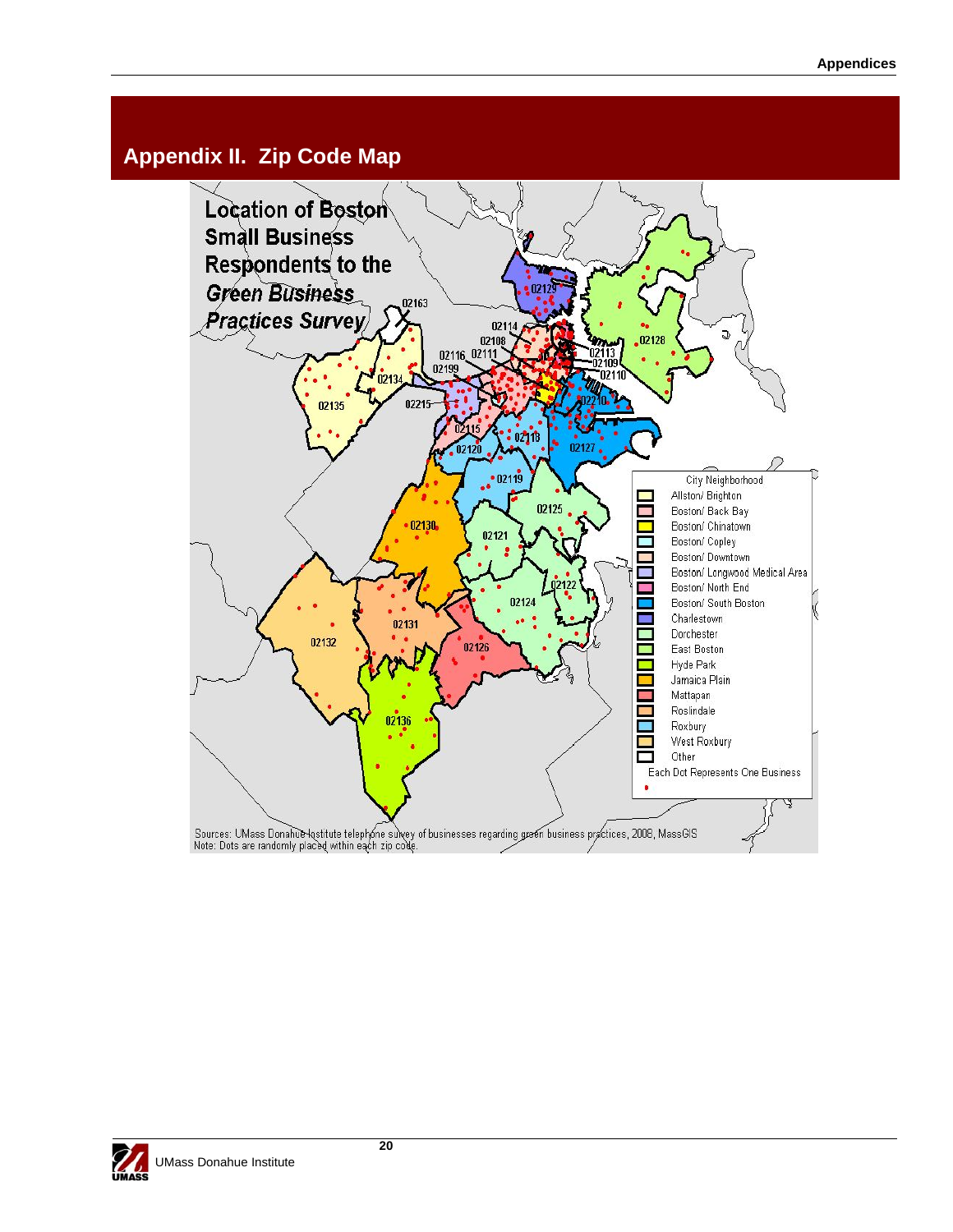## **Appendix II. Zip Code Map**



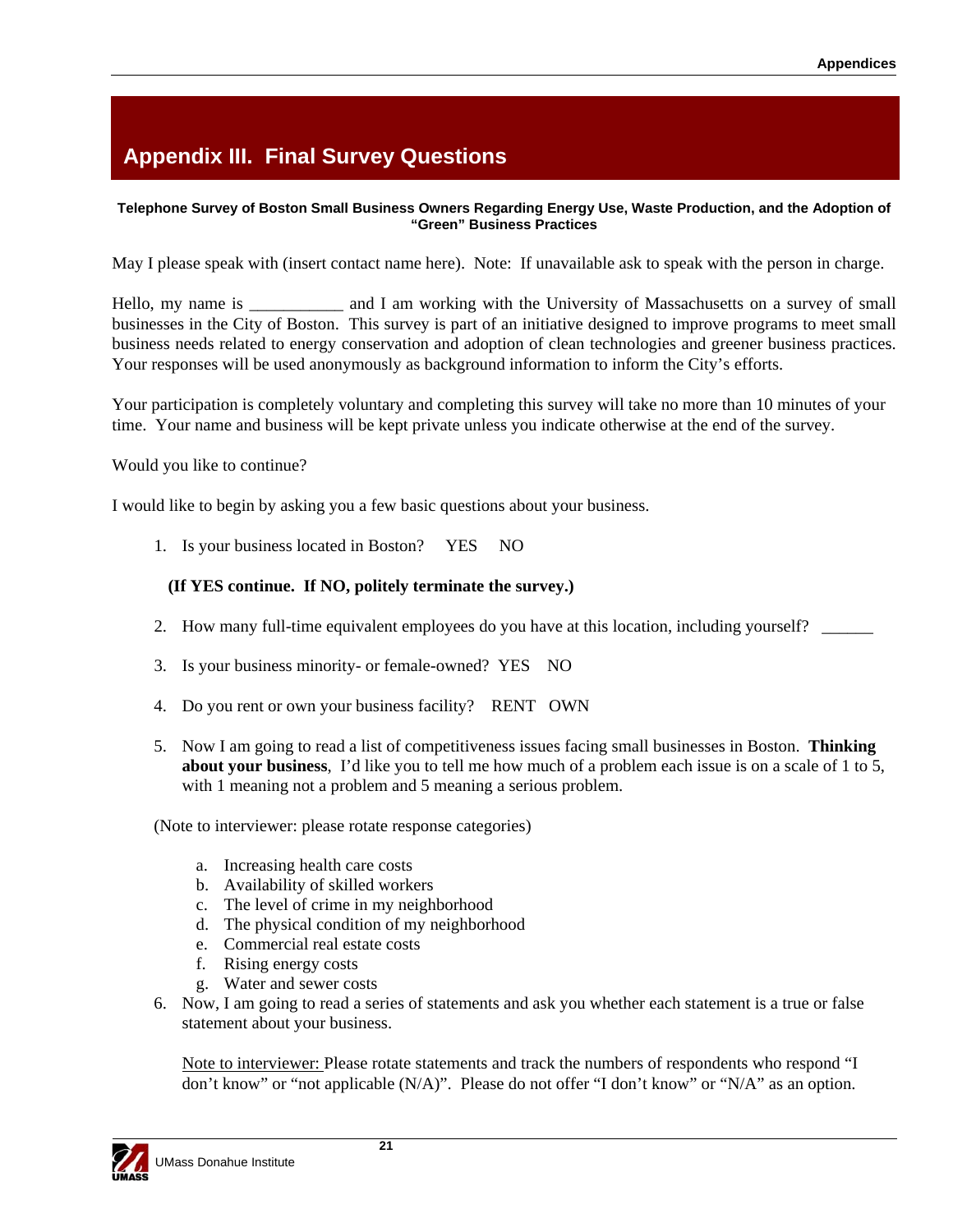# **Appendix III. Final Survey Questions**

#### **Telephone Survey of Boston Small Business Owners Regarding Energy Use, Waste Production, and the Adoption of "Green" Business Practices**

May I please speak with (insert contact name here). Note: If unavailable ask to speak with the person in charge.

Hello, my name is \_\_\_\_\_\_\_\_\_\_\_ and I am working with the University of Massachusetts on a survey of small businesses in the City of Boston. This survey is part of an initiative designed to improve programs to meet small business needs related to energy conservation and adoption of clean technologies and greener business practices. Your responses will be used anonymously as background information to inform the City's efforts.

Your participation is completely voluntary and completing this survey will take no more than 10 minutes of your time. Your name and business will be kept private unless you indicate otherwise at the end of the survey.

Would you like to continue?

I would like to begin by asking you a few basic questions about your business.

1. Is your business located in Boston? YES NO

#### **(If YES continue. If NO, politely terminate the survey.)**

- 2. How many full-time equivalent employees do you have at this location, including yourself?
- 3. Is your business minority- or female-owned? YES NO
- 4. Do you rent or own your business facility? RENT OWN
- 5. Now I am going to read a list of competitiveness issues facing small businesses in Boston. **Thinking about your business**, I'd like you to tell me how much of a problem each issue is on a scale of 1 to 5, with 1 meaning not a problem and 5 meaning a serious problem.

(Note to interviewer: please rotate response categories)

- a. Increasing health care costs
- b. Availability of skilled workers
- c. The level of crime in my neighborhood
- d. The physical condition of my neighborhood
- e. Commercial real estate costs
- f. Rising energy costs
- g. Water and sewer costs
- 6. Now, I am going to read a series of statements and ask you whether each statement is a true or false statement about your business.

Note to interviewer: Please rotate statements and track the numbers of respondents who respond "I don't know" or "not applicable (N/A)". Please do not offer "I don't know" or "N/A" as an option.

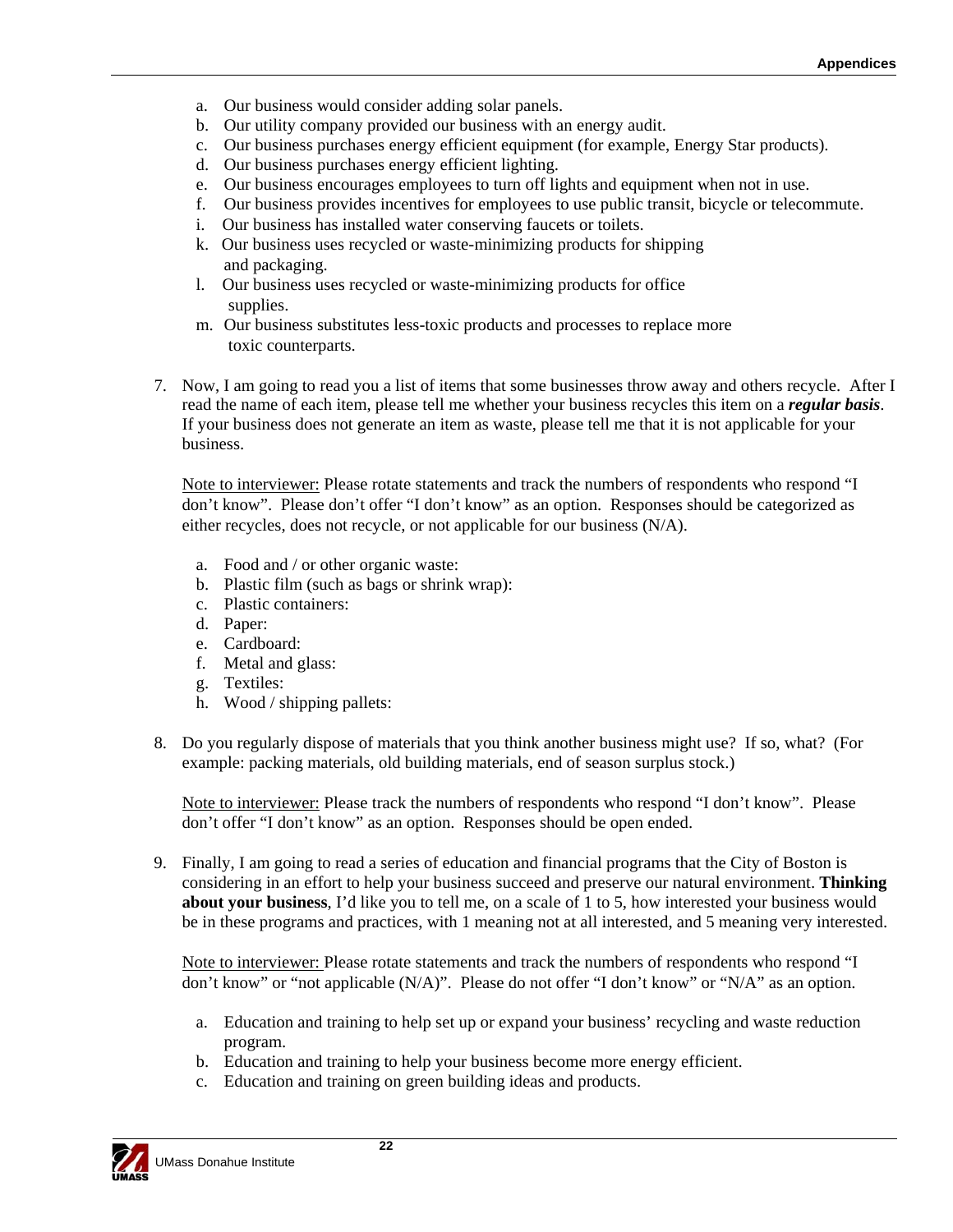- a. Our business would consider adding solar panels.
- b. Our utility company provided our business with an energy audit.
- c. Our business purchases energy efficient equipment (for example, Energy Star products).
- d. Our business purchases energy efficient lighting.
- e. Our business encourages employees to turn off lights and equipment when not in use.
- f. Our business provides incentives for employees to use public transit, bicycle or telecommute.
- i. Our business has installed water conserving faucets or toilets.
- k. Our business uses recycled or waste-minimizing products for shipping and packaging.
- l. Our business uses recycled or waste-minimizing products for office supplies.
- m. Our business substitutes less-toxic products and processes to replace more toxic counterparts.
- 7. Now, I am going to read you a list of items that some businesses throw away and others recycle. After I read the name of each item, please tell me whether your business recycles this item on a *regular basis*. If your business does not generate an item as waste, please tell me that it is not applicable for your business.

Note to interviewer: Please rotate statements and track the numbers of respondents who respond "I don't know". Please don't offer "I don't know" as an option. Responses should be categorized as either recycles, does not recycle, or not applicable for our business (N/A).

- a. Food and / or other organic waste:
- b. Plastic film (such as bags or shrink wrap):
- c. Plastic containers:
- d. Paper:
- e. Cardboard:
- f. Metal and glass:
- g. Textiles:
- h. Wood / shipping pallets:
- 8. Do you regularly dispose of materials that you think another business might use? If so, what? (For example: packing materials, old building materials, end of season surplus stock.)

Note to interviewer: Please track the numbers of respondents who respond "I don't know". Please don't offer "I don't know" as an option. Responses should be open ended.

9. Finally, I am going to read a series of education and financial programs that the City of Boston is considering in an effort to help your business succeed and preserve our natural environment. **Thinking about your business**, I'd like you to tell me, on a scale of 1 to 5, how interested your business would be in these programs and practices, with 1 meaning not at all interested, and 5 meaning very interested.

Note to interviewer: Please rotate statements and track the numbers of respondents who respond "I don't know" or "not applicable (N/A)". Please do not offer "I don't know" or "N/A" as an option.

- a. Education and training to help set up or expand your business' recycling and waste reduction program.
- b. Education and training to help your business become more energy efficient.
- c. Education and training on green building ideas and products.